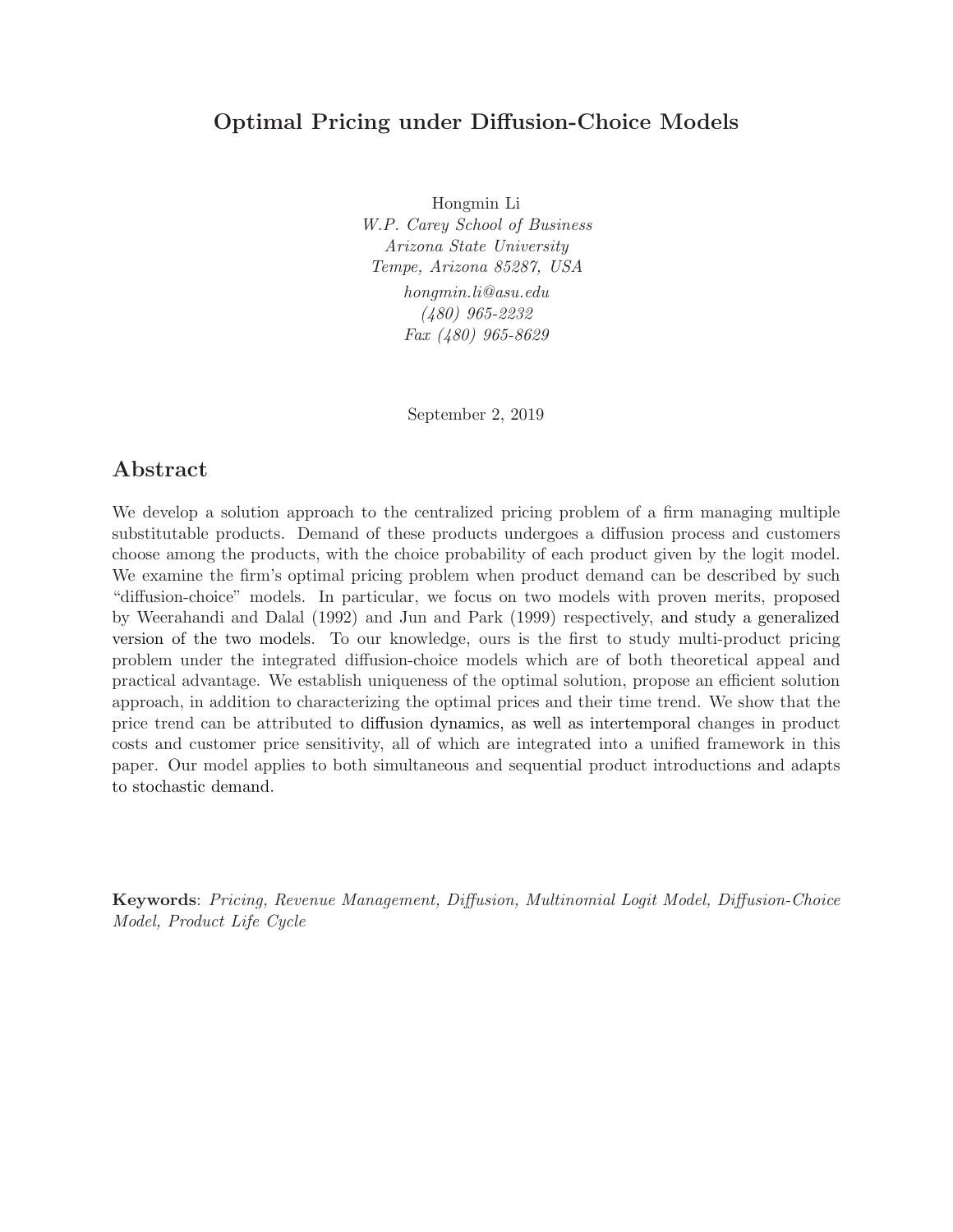# Optimal Pricing under Diffusion-Choice Models

Hongmin Li W.P. Carey School of Business Arizona State University Tempe, Arizona 85287, USA hongmin.li@asu.edu (480) 965-2232 Fax (480) 965-8629

September 2, 2019

# Abstract

We develop a solution approach to the centralized pricing problem of a firm managing multiple substitutable products. Demand of these products undergoes a diffusion process and customers choose among the products, with the choice probability of each product given by the logit model. We examine the firm's optimal pricing problem when product demand can be described by such "diffusion-choice" models. In particular, we focus on two models with proven merits, proposed by Weerahandi and Dalal (1992) and Jun and Park (1999) respectively, and study a generalized version of the two models. To our knowledge, ours is the first to study multi-product pricing problem under the integrated diffusion-choice models which are of both theoretical appeal and practical advantage. We establish uniqueness of the optimal solution, propose an efficient solution approach, in addition to characterizing the optimal prices and their time trend. We show that the price trend can be attributed to diffusion dynamics, as well as intertemporal changes in product costs and customer price sensitivity, all of which are integrated into a unified framework in this paper. Our model applies to both simultaneous and sequential product introductions and adapts to stochastic demand.

Keywords: Pricing, Revenue Management, Diffusion, Multinomial Logit Model, Diffusion-Choice Model, Product Life Cycle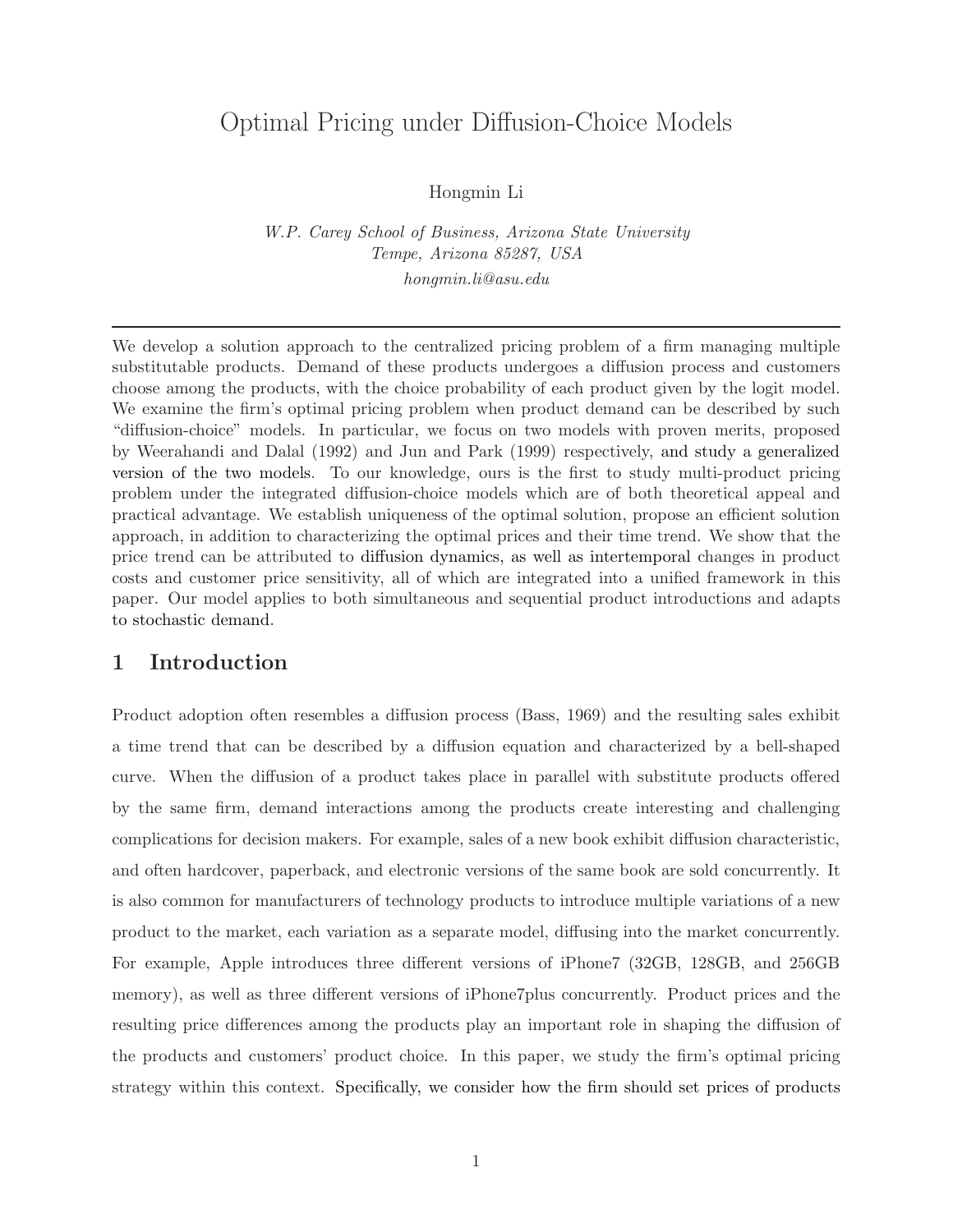# Optimal Pricing under Diffusion-Choice Models

Hongmin Li

W.P. Carey School of Business, Arizona State University Tempe, Arizona 85287, USA hongmin.li@asu.edu

We develop a solution approach to the centralized pricing problem of a firm managing multiple substitutable products. Demand of these products undergoes a diffusion process and customers choose among the products, with the choice probability of each product given by the logit model. We examine the firm's optimal pricing problem when product demand can be described by such "diffusion-choice" models. In particular, we focus on two models with proven merits, proposed by Weerahandi and Dalal (1992) and Jun and Park (1999) respectively, and study a generalized version of the two models. To our knowledge, ours is the first to study multi-product pricing problem under the integrated diffusion-choice models which are of both theoretical appeal and practical advantage. We establish uniqueness of the optimal solution, propose an efficient solution approach, in addition to characterizing the optimal prices and their time trend. We show that the price trend can be attributed to diffusion dynamics, as well as intertemporal changes in product costs and customer price sensitivity, all of which are integrated into a unified framework in this paper. Our model applies to both simultaneous and sequential product introductions and adapts to stochastic demand.

### 1 Introduction

Product adoption often resembles a diffusion process (Bass, 1969) and the resulting sales exhibit a time trend that can be described by a diffusion equation and characterized by a bell-shaped curve. When the diffusion of a product takes place in parallel with substitute products offered by the same firm, demand interactions among the products create interesting and challenging complications for decision makers. For example, sales of a new book exhibit diffusion characteristic, and often hardcover, paperback, and electronic versions of the same book are sold concurrently. It is also common for manufacturers of technology products to introduce multiple variations of a new product to the market, each variation as a separate model, diffusing into the market concurrently. For example, Apple introduces three different versions of iPhone7 (32GB, 128GB, and 256GB memory), as well as three different versions of iPhone7plus concurrently. Product prices and the resulting price differences among the products play an important role in shaping the diffusion of the products and customers' product choice. In this paper, we study the firm's optimal pricing strategy within this context. Specifically, we consider how the firm should set prices of products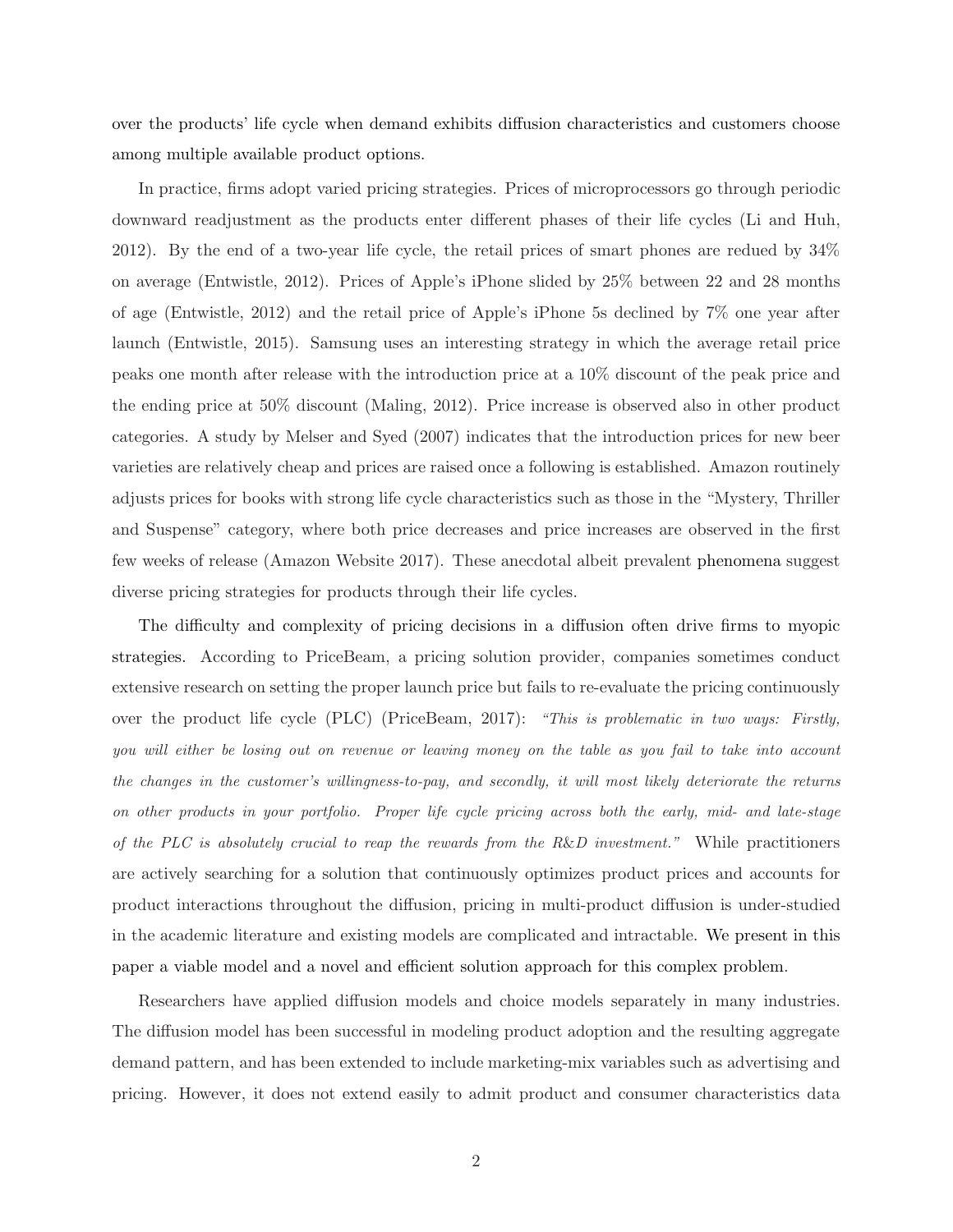over the products' life cycle when demand exhibits diffusion characteristics and customers choose among multiple available product options.

In practice, firms adopt varied pricing strategies. Prices of microprocessors go through periodic downward readjustment as the products enter different phases of their life cycles (Li and Huh, 2012). By the end of a two-year life cycle, the retail prices of smart phones are redued by 34% on average (Entwistle, 2012). Prices of Apple's iPhone slided by 25% between 22 and 28 months of age (Entwistle, 2012) and the retail price of Apple's iPhone 5s declined by 7% one year after launch (Entwistle, 2015). Samsung uses an interesting strategy in which the average retail price peaks one month after release with the introduction price at a 10% discount of the peak price and the ending price at 50% discount (Maling, 2012). Price increase is observed also in other product categories. A study by Melser and Syed (2007) indicates that the introduction prices for new beer varieties are relatively cheap and prices are raised once a following is established. Amazon routinely adjusts prices for books with strong life cycle characteristics such as those in the "Mystery, Thriller and Suspense" category, where both price decreases and price increases are observed in the first few weeks of release (Amazon Website 2017). These anecdotal albeit prevalent phenomena suggest diverse pricing strategies for products through their life cycles.

The difficulty and complexity of pricing decisions in a diffusion often drive firms to myopic strategies. According to PriceBeam, a pricing solution provider, companies sometimes conduct extensive research on setting the proper launch price but fails to re-evaluate the pricing continuously over the product life cycle (PLC) (PriceBeam, 2017): "This is problematic in two ways: Firstly, you will either be losing out on revenue or leaving money on the table as you fail to take into account the changes in the customer's willingness-to-pay, and secondly, it will most likely deteriorate the returns on other products in your portfolio. Proper life cycle pricing across both the early, mid- and late-stage of the PLC is absolutely crucial to reap the rewards from the  $R\&D$  investment." While practitioners are actively searching for a solution that continuously optimizes product prices and accounts for product interactions throughout the diffusion, pricing in multi-product diffusion is under-studied in the academic literature and existing models are complicated and intractable. We present in this paper a viable model and a novel and efficient solution approach for this complex problem.

Researchers have applied diffusion models and choice models separately in many industries. The diffusion model has been successful in modeling product adoption and the resulting aggregate demand pattern, and has been extended to include marketing-mix variables such as advertising and pricing. However, it does not extend easily to admit product and consumer characteristics data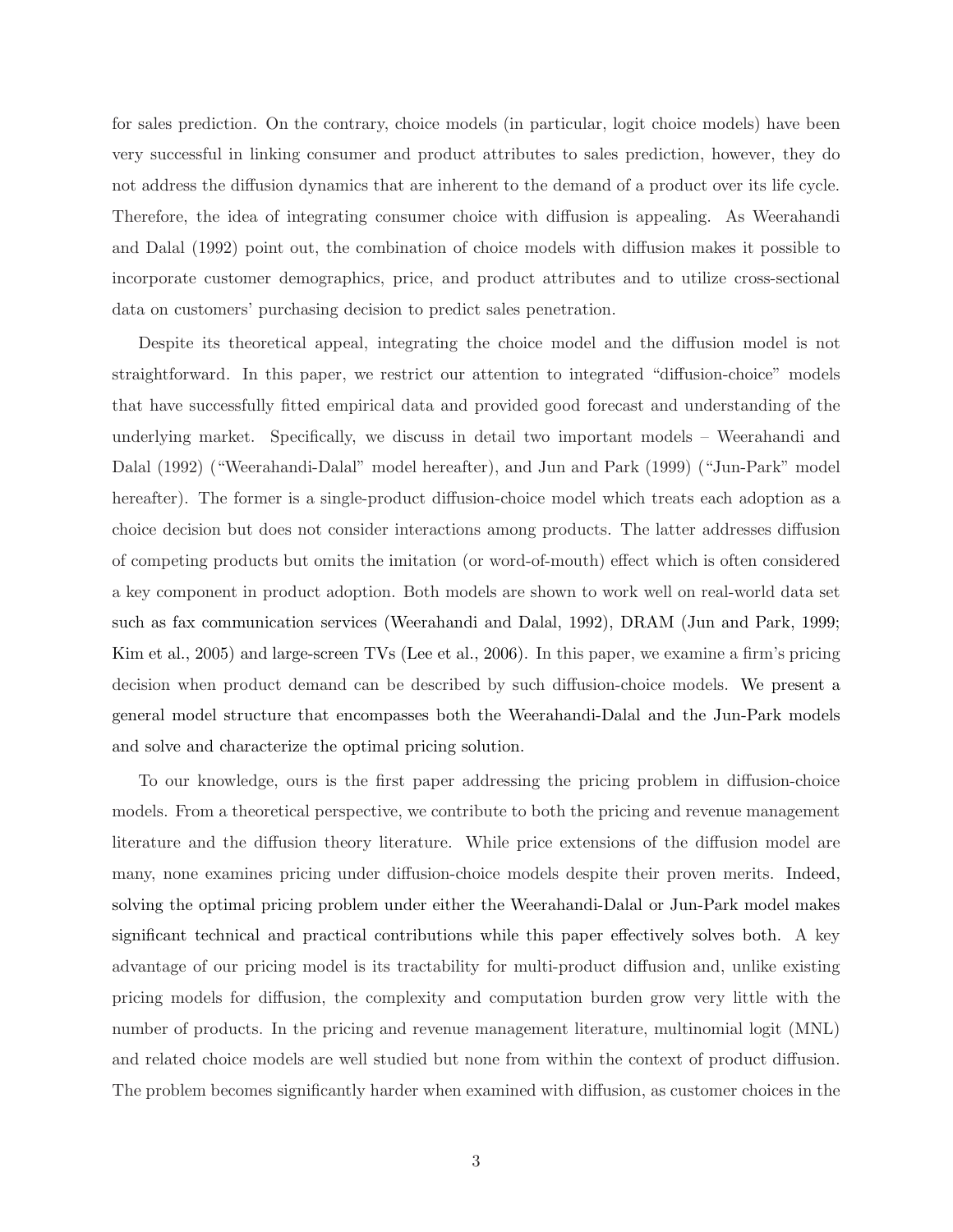for sales prediction. On the contrary, choice models (in particular, logit choice models) have been very successful in linking consumer and product attributes to sales prediction, however, they do not address the diffusion dynamics that are inherent to the demand of a product over its life cycle. Therefore, the idea of integrating consumer choice with diffusion is appealing. As Weerahandi and Dalal (1992) point out, the combination of choice models with diffusion makes it possible to incorporate customer demographics, price, and product attributes and to utilize cross-sectional data on customers' purchasing decision to predict sales penetration.

Despite its theoretical appeal, integrating the choice model and the diffusion model is not straightforward. In this paper, we restrict our attention to integrated "diffusion-choice" models that have successfully fitted empirical data and provided good forecast and understanding of the underlying market. Specifically, we discuss in detail two important models – Weerahandi and Dalal (1992) ("Weerahandi-Dalal" model hereafter), and Jun and Park (1999) ("Jun-Park" model hereafter). The former is a single-product diffusion-choice model which treats each adoption as a choice decision but does not consider interactions among products. The latter addresses diffusion of competing products but omits the imitation (or word-of-mouth) effect which is often considered a key component in product adoption. Both models are shown to work well on real-world data set such as fax communication services (Weerahandi and Dalal, 1992), DRAM (Jun and Park, 1999; Kim et al., 2005) and large-screen TVs (Lee et al., 2006). In this paper, we examine a firm's pricing decision when product demand can be described by such diffusion-choice models. We present a general model structure that encompasses both the Weerahandi-Dalal and the Jun-Park models and solve and characterize the optimal pricing solution.

To our knowledge, ours is the first paper addressing the pricing problem in diffusion-choice models. From a theoretical perspective, we contribute to both the pricing and revenue management literature and the diffusion theory literature. While price extensions of the diffusion model are many, none examines pricing under diffusion-choice models despite their proven merits. Indeed, solving the optimal pricing problem under either the Weerahandi-Dalal or Jun-Park model makes significant technical and practical contributions while this paper effectively solves both. A key advantage of our pricing model is its tractability for multi-product diffusion and, unlike existing pricing models for diffusion, the complexity and computation burden grow very little with the number of products. In the pricing and revenue management literature, multinomial logit (MNL) and related choice models are well studied but none from within the context of product diffusion. The problem becomes significantly harder when examined with diffusion, as customer choices in the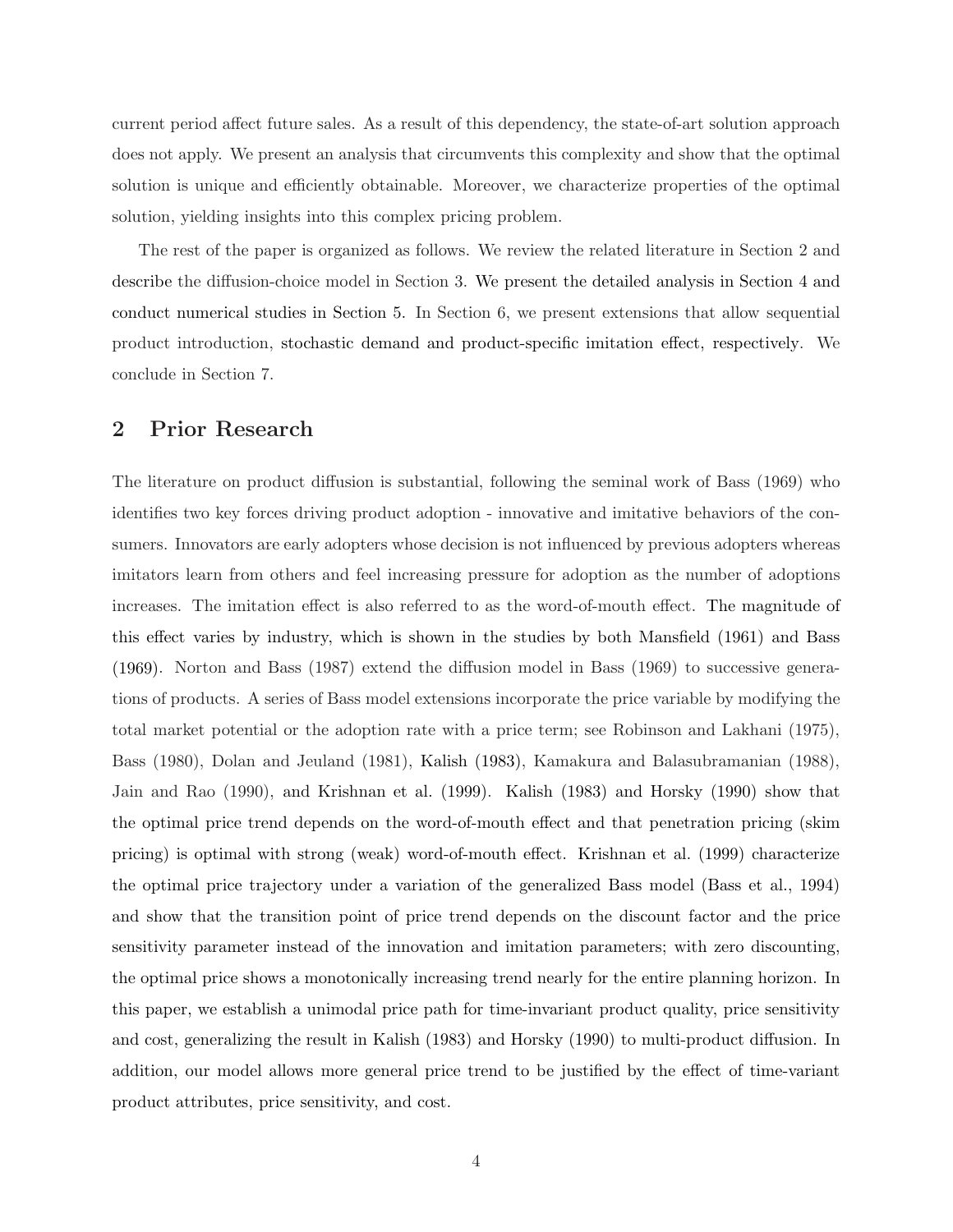current period affect future sales. As a result of this dependency, the state-of-art solution approach does not apply. We present an analysis that circumvents this complexity and show that the optimal solution is unique and efficiently obtainable. Moreover, we characterize properties of the optimal solution, yielding insights into this complex pricing problem.

The rest of the paper is organized as follows. We review the related literature in Section 2 and describe the diffusion-choice model in Section 3. We present the detailed analysis in Section 4 and conduct numerical studies in Section 5. In Section 6, we present extensions that allow sequential product introduction, stochastic demand and product-specific imitation effect, respectively. We conclude in Section 7.

### 2 Prior Research

The literature on product diffusion is substantial, following the seminal work of Bass (1969) who identifies two key forces driving product adoption - innovative and imitative behaviors of the consumers. Innovators are early adopters whose decision is not influenced by previous adopters whereas imitators learn from others and feel increasing pressure for adoption as the number of adoptions increases. The imitation effect is also referred to as the word-of-mouth effect. The magnitude of this effect varies by industry, which is shown in the studies by both Mansfield (1961) and Bass (1969). Norton and Bass (1987) extend the diffusion model in Bass (1969) to successive generations of products. A series of Bass model extensions incorporate the price variable by modifying the total market potential or the adoption rate with a price term; see Robinson and Lakhani (1975), Bass (1980), Dolan and Jeuland (1981), Kalish (1983), Kamakura and Balasubramanian (1988), Jain and Rao (1990), and Krishnan et al. (1999). Kalish (1983) and Horsky (1990) show that the optimal price trend depends on the word-of-mouth effect and that penetration pricing (skim pricing) is optimal with strong (weak) word-of-mouth effect. Krishnan et al. (1999) characterize the optimal price trajectory under a variation of the generalized Bass model (Bass et al., 1994) and show that the transition point of price trend depends on the discount factor and the price sensitivity parameter instead of the innovation and imitation parameters; with zero discounting, the optimal price shows a monotonically increasing trend nearly for the entire planning horizon. In this paper, we establish a unimodal price path for time-invariant product quality, price sensitivity and cost, generalizing the result in Kalish (1983) and Horsky (1990) to multi-product diffusion. In addition, our model allows more general price trend to be justified by the effect of time-variant product attributes, price sensitivity, and cost.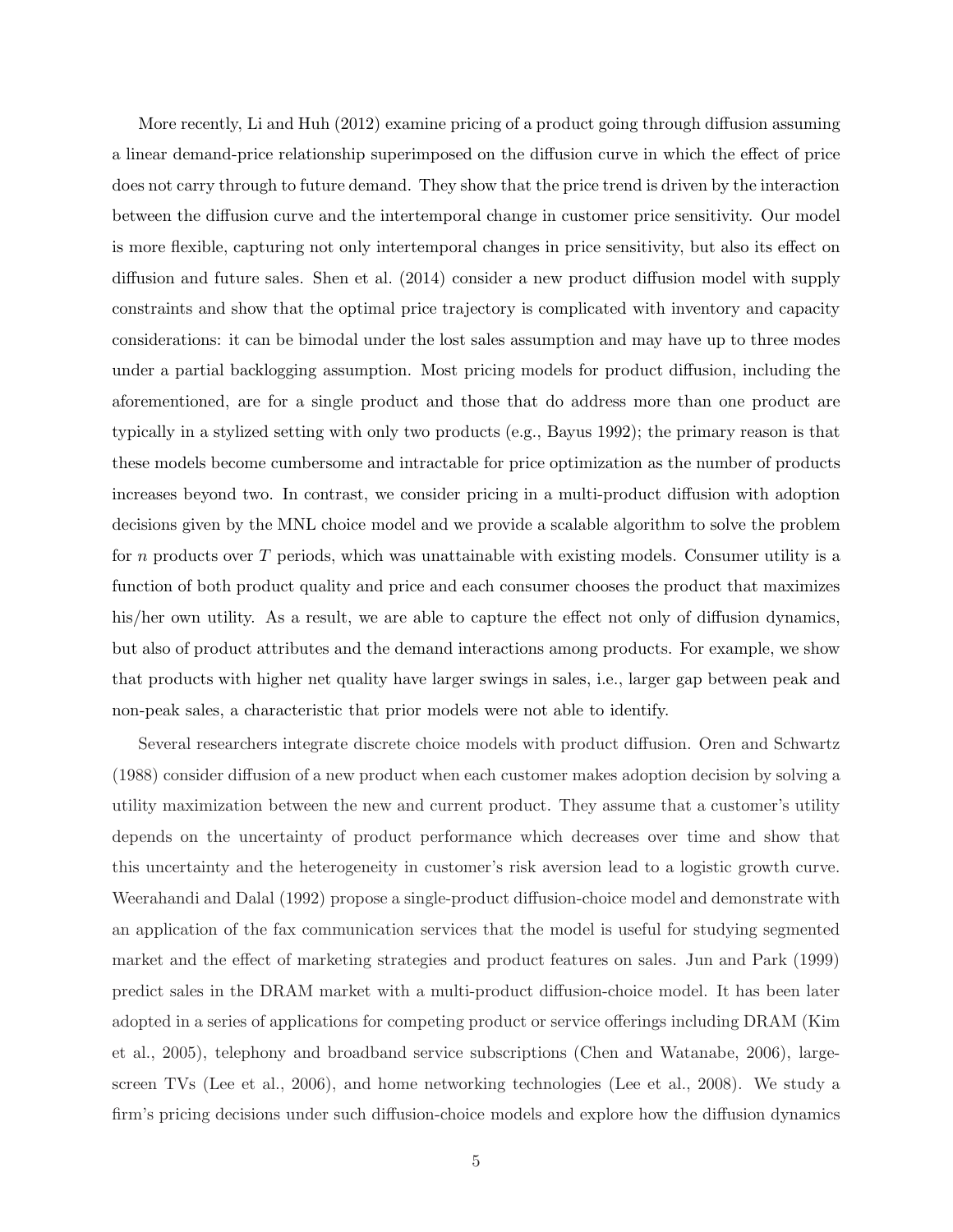More recently, Li and Huh (2012) examine pricing of a product going through diffusion assuming a linear demand-price relationship superimposed on the diffusion curve in which the effect of price does not carry through to future demand. They show that the price trend is driven by the interaction between the diffusion curve and the intertemporal change in customer price sensitivity. Our model is more flexible, capturing not only intertemporal changes in price sensitivity, but also its effect on diffusion and future sales. Shen et al. (2014) consider a new product diffusion model with supply constraints and show that the optimal price trajectory is complicated with inventory and capacity considerations: it can be bimodal under the lost sales assumption and may have up to three modes under a partial backlogging assumption. Most pricing models for product diffusion, including the aforementioned, are for a single product and those that do address more than one product are typically in a stylized setting with only two products (e.g., Bayus 1992); the primary reason is that these models become cumbersome and intractable for price optimization as the number of products increases beyond two. In contrast, we consider pricing in a multi-product diffusion with adoption decisions given by the MNL choice model and we provide a scalable algorithm to solve the problem for n products over  $T$  periods, which was unattainable with existing models. Consumer utility is a function of both product quality and price and each consumer chooses the product that maximizes his/her own utility. As a result, we are able to capture the effect not only of diffusion dynamics, but also of product attributes and the demand interactions among products. For example, we show that products with higher net quality have larger swings in sales, i.e., larger gap between peak and non-peak sales, a characteristic that prior models were not able to identify.

Several researchers integrate discrete choice models with product diffusion. Oren and Schwartz (1988) consider diffusion of a new product when each customer makes adoption decision by solving a utility maximization between the new and current product. They assume that a customer's utility depends on the uncertainty of product performance which decreases over time and show that this uncertainty and the heterogeneity in customer's risk aversion lead to a logistic growth curve. Weerahandi and Dalal (1992) propose a single-product diffusion-choice model and demonstrate with an application of the fax communication services that the model is useful for studying segmented market and the effect of marketing strategies and product features on sales. Jun and Park (1999) predict sales in the DRAM market with a multi-product diffusion-choice model. It has been later adopted in a series of applications for competing product or service offerings including DRAM (Kim et al., 2005), telephony and broadband service subscriptions (Chen and Watanabe, 2006), largescreen TVs (Lee et al., 2006), and home networking technologies (Lee et al., 2008). We study a firm's pricing decisions under such diffusion-choice models and explore how the diffusion dynamics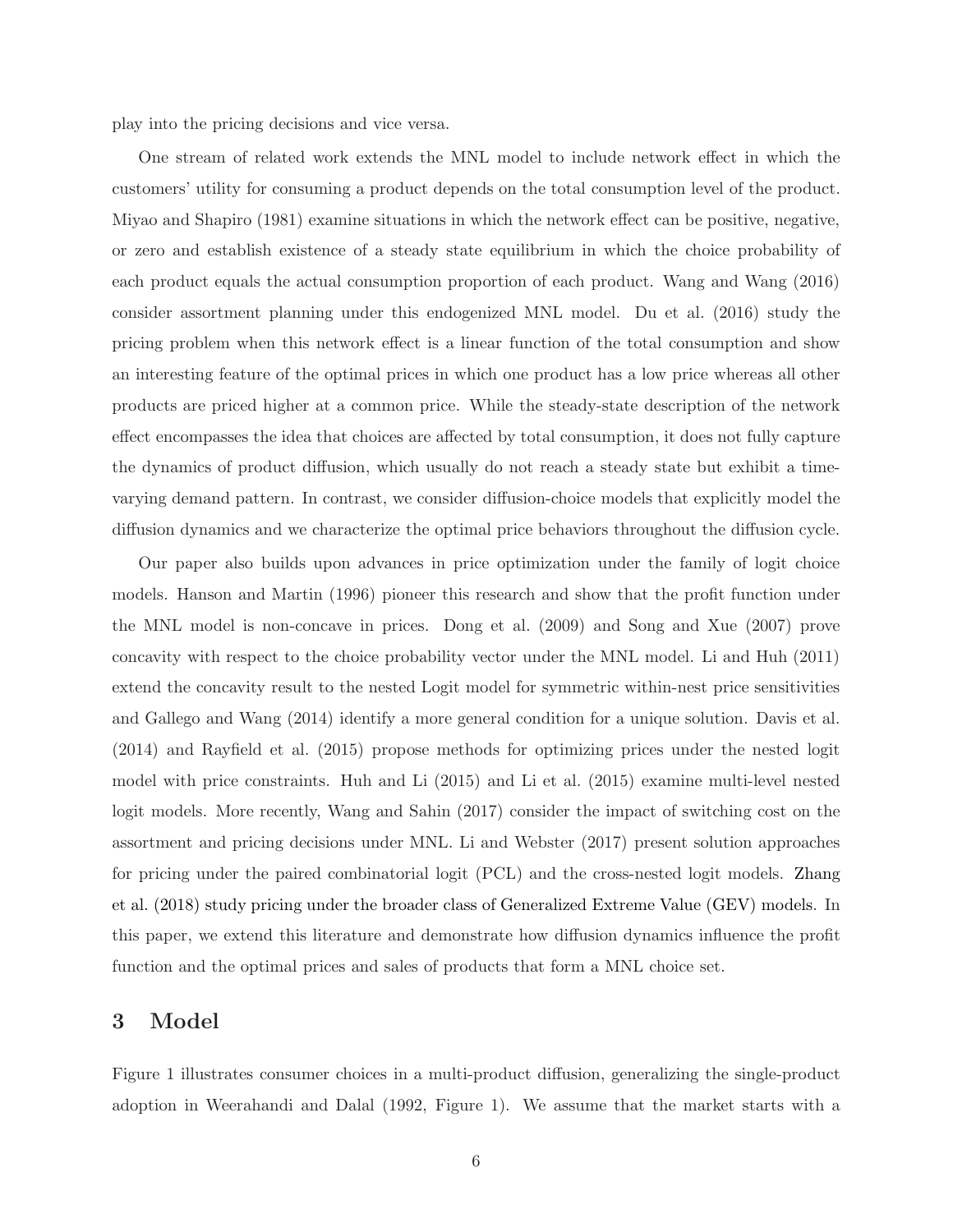play into the pricing decisions and vice versa.

One stream of related work extends the MNL model to include network effect in which the customers' utility for consuming a product depends on the total consumption level of the product. Miyao and Shapiro (1981) examine situations in which the network effect can be positive, negative, or zero and establish existence of a steady state equilibrium in which the choice probability of each product equals the actual consumption proportion of each product. Wang and Wang (2016) consider assortment planning under this endogenized MNL model. Du et al. (2016) study the pricing problem when this network effect is a linear function of the total consumption and show an interesting feature of the optimal prices in which one product has a low price whereas all other products are priced higher at a common price. While the steady-state description of the network effect encompasses the idea that choices are affected by total consumption, it does not fully capture the dynamics of product diffusion, which usually do not reach a steady state but exhibit a timevarying demand pattern. In contrast, we consider diffusion-choice models that explicitly model the diffusion dynamics and we characterize the optimal price behaviors throughout the diffusion cycle.

Our paper also builds upon advances in price optimization under the family of logit choice models. Hanson and Martin (1996) pioneer this research and show that the profit function under the MNL model is non-concave in prices. Dong et al. (2009) and Song and Xue (2007) prove concavity with respect to the choice probability vector under the MNL model. Li and Huh (2011) extend the concavity result to the nested Logit model for symmetric within-nest price sensitivities and Gallego and Wang (2014) identify a more general condition for a unique solution. Davis et al. (2014) and Rayfield et al. (2015) propose methods for optimizing prices under the nested logit model with price constraints. Huh and Li (2015) and Li et al. (2015) examine multi-level nested logit models. More recently, Wang and Sahin (2017) consider the impact of switching cost on the assortment and pricing decisions under MNL. Li and Webster (2017) present solution approaches for pricing under the paired combinatorial logit (PCL) and the cross-nested logit models. Zhang et al. (2018) study pricing under the broader class of Generalized Extreme Value (GEV) models. In this paper, we extend this literature and demonstrate how diffusion dynamics influence the profit function and the optimal prices and sales of products that form a MNL choice set.

### 3 Model

Figure 1 illustrates consumer choices in a multi-product diffusion, generalizing the single-product adoption in Weerahandi and Dalal (1992, Figure 1). We assume that the market starts with a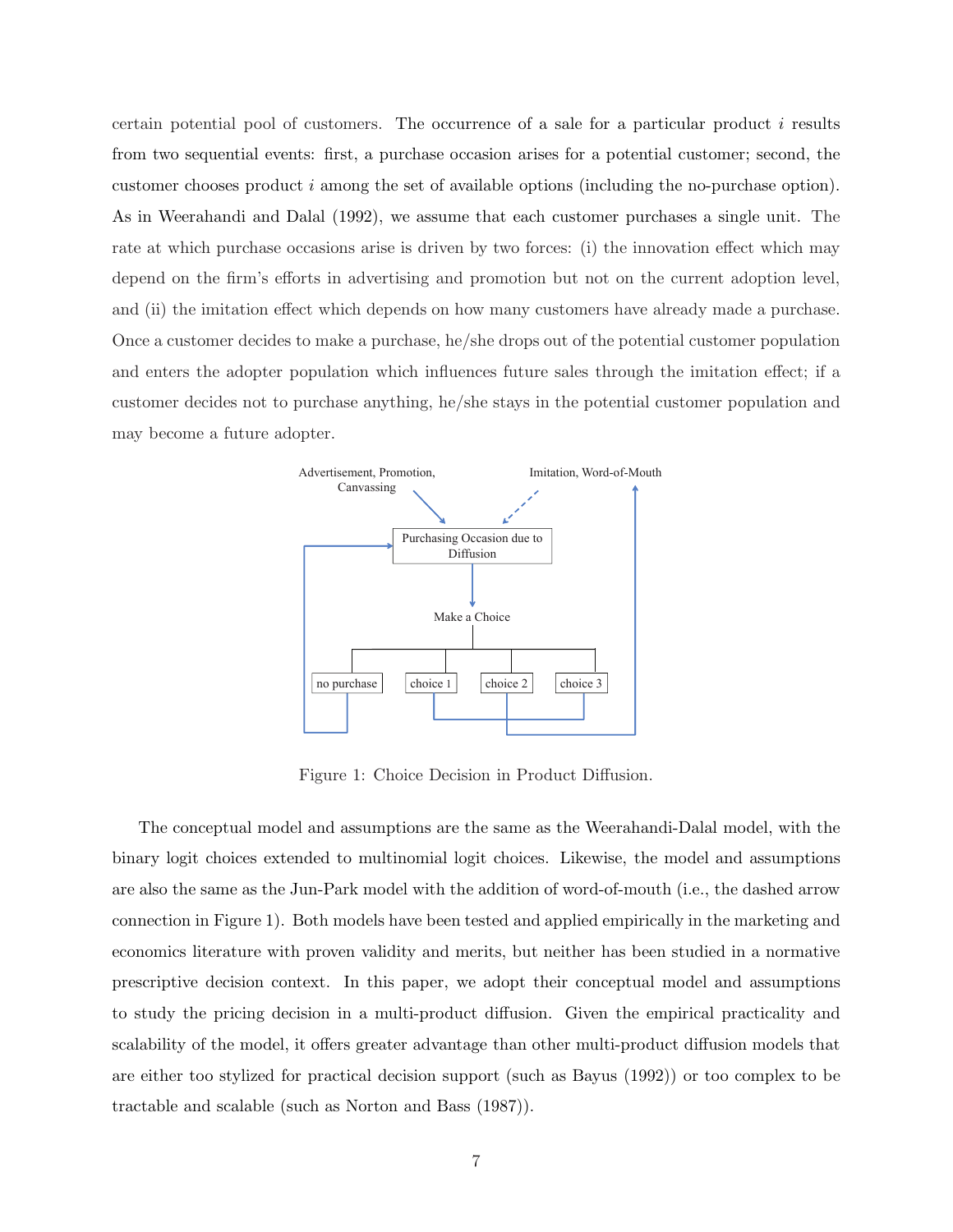certain potential pool of customers. The occurrence of a sale for a particular product  $i$  results from two sequential events: first, a purchase occasion arises for a potential customer; second, the customer chooses product i among the set of available options (including the no-purchase option). As in Weerahandi and Dalal (1992), we assume that each customer purchases a single unit. The rate at which purchase occasions arise is driven by two forces: (i) the innovation effect which may depend on the firm's efforts in advertising and promotion but not on the current adoption level, and (ii) the imitation effect which depends on how many customers have already made a purchase. Once a customer decides to make a purchase, he/she drops out of the potential customer population and enters the adopter population which influences future sales through the imitation effect; if a customer decides not to purchase anything, he/she stays in the potential customer population and may become a future adopter.



Figure 1: Choice Decision in Product Diffusion.

The conceptual model and assumptions are the same as the Weerahandi-Dalal model, with the binary logit choices extended to multinomial logit choices. Likewise, the model and assumptions are also the same as the Jun-Park model with the addition of word-of-mouth (i.e., the dashed arrow connection in Figure 1). Both models have been tested and applied empirically in the marketing and economics literature with proven validity and merits, but neither has been studied in a normative prescriptive decision context. In this paper, we adopt their conceptual model and assumptions to study the pricing decision in a multi-product diffusion. Given the empirical practicality and scalability of the model, it offers greater advantage than other multi-product diffusion models that are either too stylized for practical decision support (such as Bayus (1992)) or too complex to be tractable and scalable (such as Norton and Bass (1987)).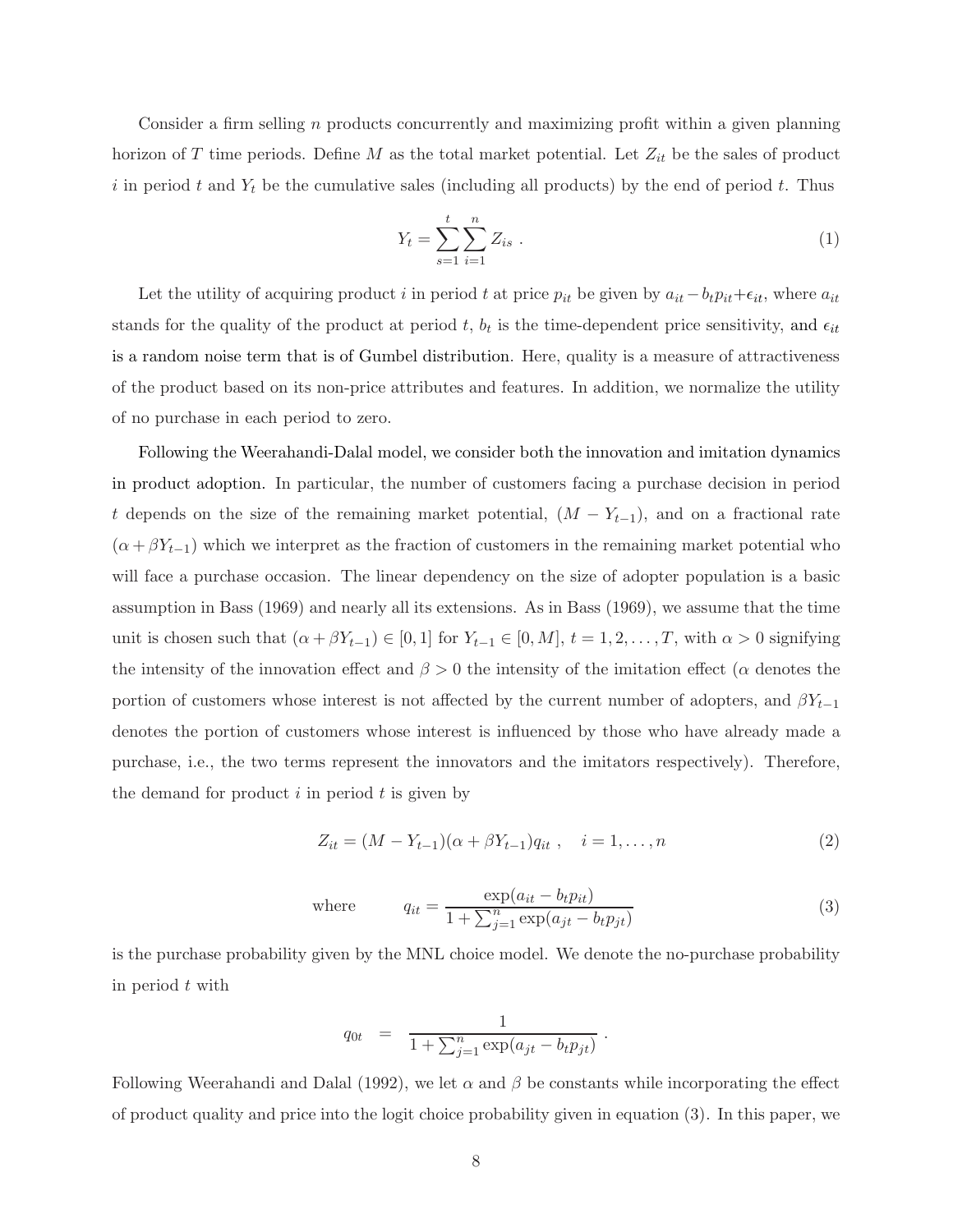Consider a firm selling n products concurrently and maximizing profit within a given planning horizon of T time periods. Define M as the total market potential. Let  $Z_{it}$  be the sales of product i in period t and  $Y_t$  be the cumulative sales (including all products) by the end of period t. Thus

$$
Y_t = \sum_{s=1}^t \sum_{i=1}^n Z_{is} \ . \tag{1}
$$

Let the utility of acquiring product i in period t at price  $p_{it}$  be given by  $a_{it} - b_t p_{it} + \epsilon_{it}$ , where  $a_{it}$ stands for the quality of the product at period t,  $b_t$  is the time-dependent price sensitivity, and  $\epsilon_{it}$ is a random noise term that is of Gumbel distribution. Here, quality is a measure of attractiveness of the product based on its non-price attributes and features. In addition, we normalize the utility of no purchase in each period to zero.

Following the Weerahandi-Dalal model, we consider both the innovation and imitation dynamics in product adoption. In particular, the number of customers facing a purchase decision in period t depends on the size of the remaining market potential,  $(M - Y_{t-1})$ , and on a fractional rate  $(\alpha + \beta Y_{t-1})$  which we interpret as the fraction of customers in the remaining market potential who will face a purchase occasion. The linear dependency on the size of adopter population is a basic assumption in Bass (1969) and nearly all its extensions. As in Bass (1969), we assume that the time unit is chosen such that  $(\alpha + \beta Y_{t-1}) \in [0,1]$  for  $Y_{t-1} \in [0,M], t = 1,2,\ldots,T$ , with  $\alpha > 0$  signifying the intensity of the innovation effect and  $\beta > 0$  the intensity of the imitation effect ( $\alpha$  denotes the portion of customers whose interest is not affected by the current number of adopters, and  $\beta Y_{t-1}$ denotes the portion of customers whose interest is influenced by those who have already made a purchase, i.e., the two terms represent the innovators and the imitators respectively). Therefore, the demand for product  $i$  in period  $t$  is given by

$$
Z_{it} = (M - Y_{t-1})(\alpha + \beta Y_{t-1})q_{it}, \quad i = 1, ..., n
$$
\n(2)

where 
$$
q_{it} = \frac{\exp(a_{it} - b_t p_{it})}{1 + \sum_{j=1}^n \exp(a_{jt} - b_t p_{jt})}
$$
(3)

is the purchase probability given by the MNL choice model. We denote the no-purchase probability in period  $t$  with

$$
q_{0t} = \frac{1}{1 + \sum_{j=1}^{n} \exp(a_{jt} - b_t p_{jt})}.
$$

Following Weerahandi and Dalal (1992), we let  $\alpha$  and  $\beta$  be constants while incorporating the effect of product quality and price into the logit choice probability given in equation (3). In this paper, we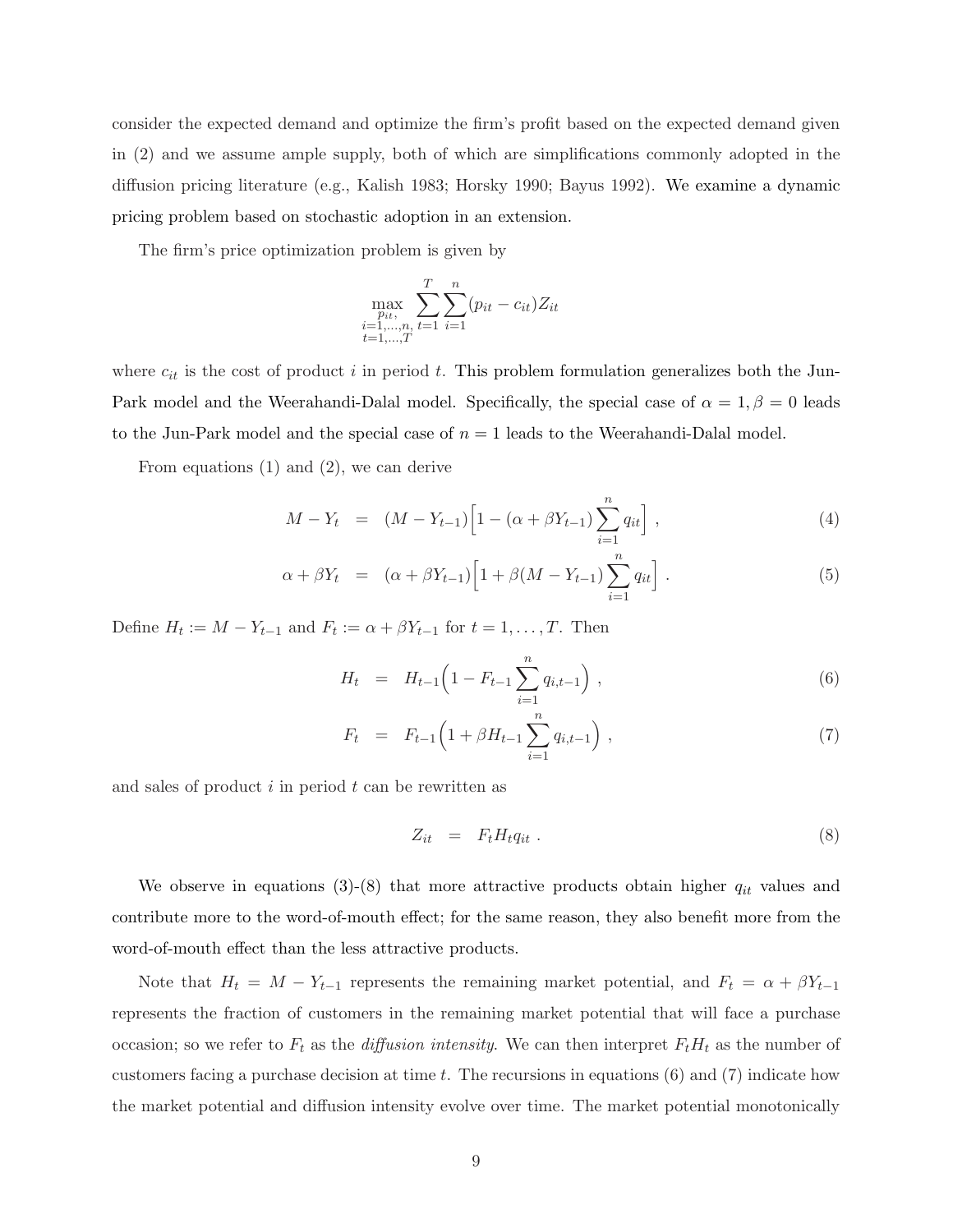consider the expected demand and optimize the firm's profit based on the expected demand given in (2) and we assume ample supply, both of which are simplifications commonly adopted in the diffusion pricing literature (e.g., Kalish 1983; Horsky 1990; Bayus 1992). We examine a dynamic pricing problem based on stochastic adoption in an extension.

The firm's price optimization problem is given by

$$
\max_{\substack{p_{it},\\i=1,\dots,n,\\t=1,\dots,T}} \sum_{t=1}^{T} \sum_{i=1}^{n} (p_{it} - c_{it}) Z_{it}
$$

where  $c_{it}$  is the cost of product i in period t. This problem formulation generalizes both the Jun-Park model and the Weerahandi-Dalal model. Specifically, the special case of  $\alpha = 1, \beta = 0$  leads to the Jun-Park model and the special case of  $n = 1$  leads to the Weerahandi-Dalal model.

From equations (1) and (2), we can derive

$$
M - Y_t = (M - Y_{t-1}) \left[ 1 - (\alpha + \beta Y_{t-1}) \sum_{i=1}^n q_{it} \right], \qquad (4)
$$

$$
\alpha + \beta Y_t = (\alpha + \beta Y_{t-1}) \left[ 1 + \beta (M - Y_{t-1}) \sum_{i=1}^n q_{it} \right]. \tag{5}
$$

Define  $H_t := M - Y_{t-1}$  and  $F_t := \alpha + \beta Y_{t-1}$  for  $t = 1, \ldots, T$ . Then

$$
H_t = H_{t-1} \left( 1 - F_{t-1} \sum_{i=1}^n q_{i,t-1} \right) , \qquad (6)
$$

$$
F_t = F_{t-1} \left( 1 + \beta H_{t-1} \sum_{i=1}^n q_{i,t-1} \right), \qquad (7)
$$

and sales of product  $i$  in period  $t$  can be rewritten as

$$
Z_{it} = F_t H_t q_{it} \tag{8}
$$

We observe in equations (3)-(8) that more attractive products obtain higher  $q_{it}$  values and contribute more to the word-of-mouth effect; for the same reason, they also benefit more from the word-of-mouth effect than the less attractive products.

Note that  $H_t = M - Y_{t-1}$  represents the remaining market potential, and  $F_t = \alpha + \beta Y_{t-1}$ represents the fraction of customers in the remaining market potential that will face a purchase occasion; so we refer to  $F_t$  as the *diffusion intensity*. We can then interpret  $F_tH_t$  as the number of customers facing a purchase decision at time t. The recursions in equations  $(6)$  and  $(7)$  indicate how the market potential and diffusion intensity evolve over time. The market potential monotonically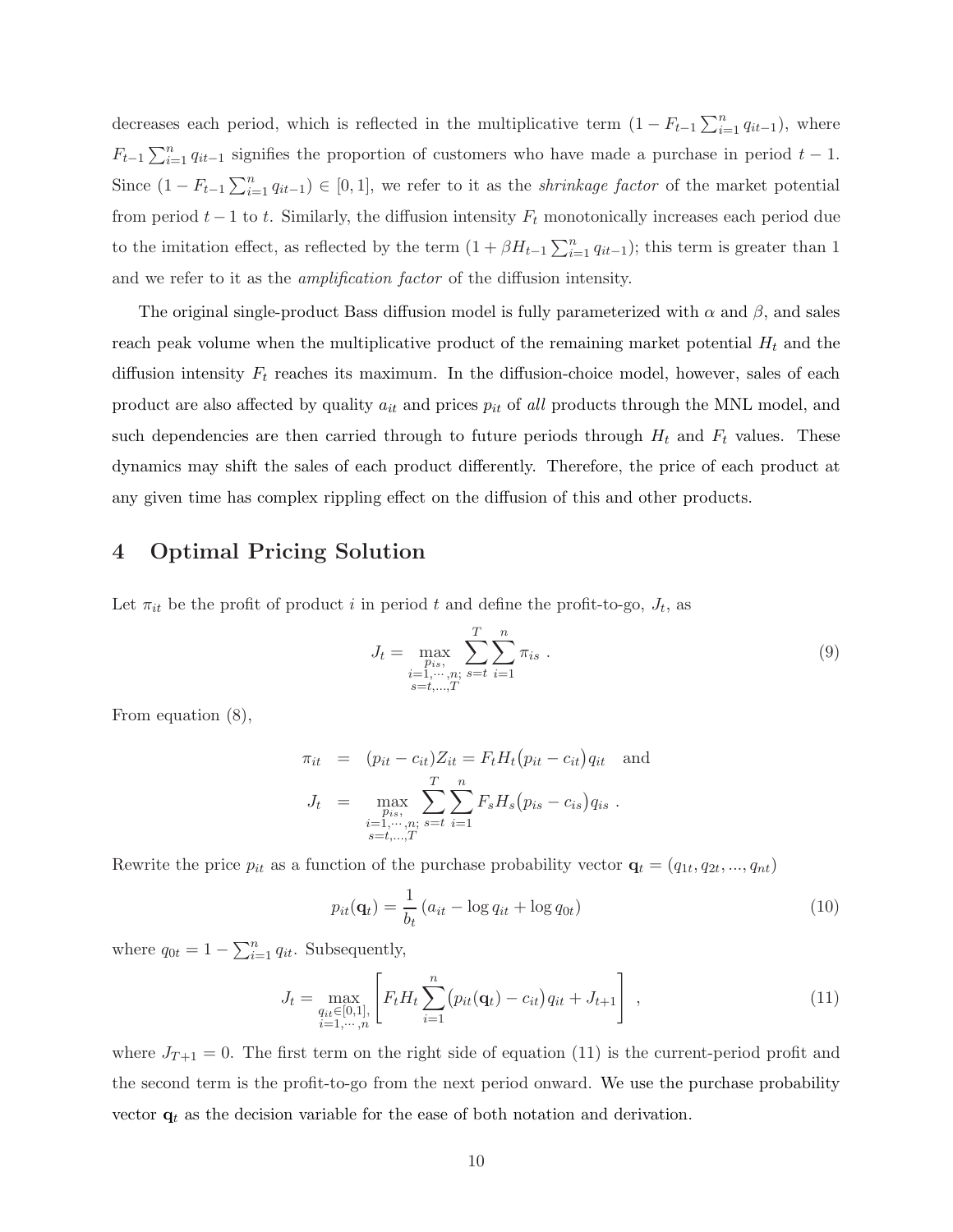decreases each period, which is reflected in the multiplicative term  $(1 - F_{t-1} \sum_{i=1}^{n} q_{it-1})$ , where  $F_{t-1} \sum_{i=1}^{n} q_{it-1}$  signifies the proportion of customers who have made a purchase in period  $t-1$ . Since  $(1 - F_{t-1} \sum_{i=1}^{n} q_{it-1}) \in [0, 1]$ , we refer to it as the *shrinkage factor* of the market potential from period  $t - 1$  to t. Similarly, the diffusion intensity  $F_t$  monotonically increases each period due to the imitation effect, as reflected by the term  $(1 + \beta H_{t-1} \sum_{i=1}^{n} q_{it-1})$ ; this term is greater than 1 and we refer to it as the amplification factor of the diffusion intensity.

The original single-product Bass diffusion model is fully parameterized with  $\alpha$  and  $\beta$ , and sales reach peak volume when the multiplicative product of the remaining market potential  $H_t$  and the diffusion intensity  $F_t$  reaches its maximum. In the diffusion-choice model, however, sales of each product are also affected by quality  $a_{it}$  and prices  $p_{it}$  of all products through the MNL model, and such dependencies are then carried through to future periods through  $H_t$  and  $F_t$  values. These dynamics may shift the sales of each product differently. Therefore, the price of each product at any given time has complex rippling effect on the diffusion of this and other products.

### 4 Optimal Pricing Solution

Let  $\pi_{it}$  be the profit of product i in period t and define the profit-to-go,  $J_t$ , as

$$
J_{t} = \max_{\substack{p_{is}, \\ i=1,\cdots,n; \\ s=t,\ldots,T}} \sum_{s=t}^{T} \sum_{i=1}^{n} \pi_{is} .
$$
 (9)

From equation (8),

$$
\pi_{it} = (p_{it} - c_{it})Z_{it} = F_t H_t (p_{it} - c_{it}) q_{it} \text{ and}
$$
  
\n
$$
J_t = \max_{\substack{p_{is}, \\ p_{is}, \\ s=t, ..., T}} \sum_{s=t}^{T} \sum_{i=1}^{n} F_s H_s (p_{is} - c_{is}) q_{is} .
$$

Rewrite the price  $p_{it}$  as a function of the purchase probability vector  $\mathbf{q}_t = (q_{1t}, q_{2t}, ..., q_{nt})$ 

$$
p_{it}(\mathbf{q}_t) = \frac{1}{b_t} \left( a_{it} - \log q_{it} + \log q_{0t} \right) \tag{10}
$$

where  $q_{0t} = 1 - \sum_{i=1}^{n} q_{it}$ . Subsequently,

$$
J_t = \max_{\substack{q_{it} \in [0,1], \\ i=1,\cdots,n}} \left[ F_t H_t \sum_{i=1}^n (p_{it}(\mathbf{q}_t) - c_{it}) q_{it} + J_{t+1} \right], \qquad (11)
$$

where  $J_{T+1} = 0$ . The first term on the right side of equation (11) is the current-period profit and the second term is the profit-to-go from the next period onward. We use the purchase probability vector  $\mathbf{q}_t$  as the decision variable for the ease of both notation and derivation.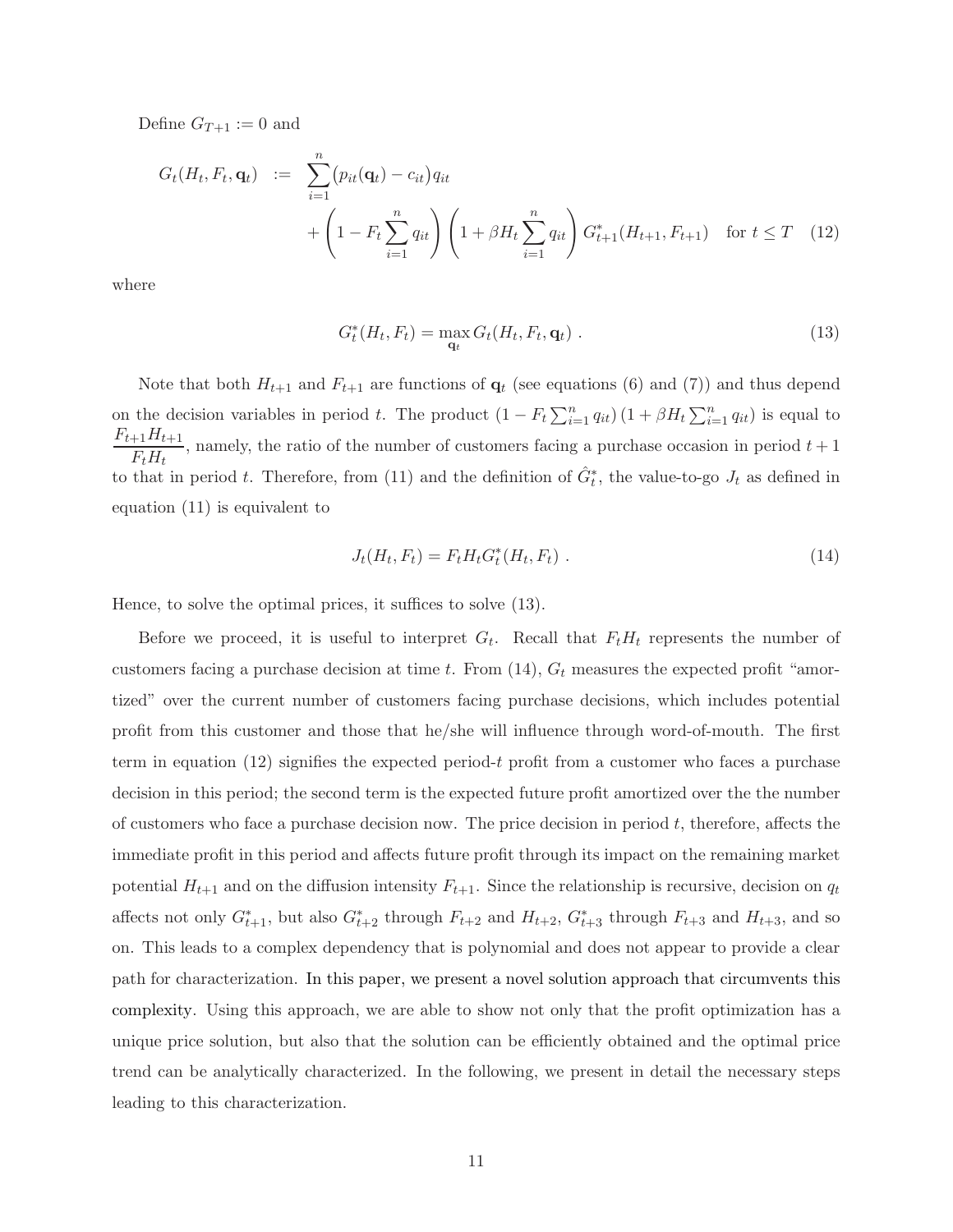Define  $G_{T+1} := 0$  and

$$
G_t(H_t, F_t, \mathbf{q}_t) := \sum_{i=1}^n (p_{it}(\mathbf{q}_t) - c_{it}) q_{it}
$$
  
+ 
$$
\left(1 - F_t \sum_{i=1}^n q_{it}\right) \left(1 + \beta H_t \sum_{i=1}^n q_{it}\right) G_{t+1}^*(H_{t+1}, F_{t+1}) \text{ for } t \leq T \quad (12)
$$

where

$$
G_t^*(H_t, F_t) = \max_{\mathbf{q}_t} G_t(H_t, F_t, \mathbf{q}_t) .
$$
 (13)

Note that both  $H_{t+1}$  and  $F_{t+1}$  are functions of  $q_t$  (see equations (6) and (7)) and thus depend on the decision variables in period t. The product  $(1 - F_t \sum_{i=1}^n q_{it}) (1 + \beta H_t \sum_{i=1}^n q_{it})$  is equal to  $F_{t+1}H_{t+1}$  $\frac{F_tH_t}{F_tH_t}$ , namely, the ratio of the number of customers facing a purchase occasion in period  $t+1$ to that in period t. Therefore, from (11) and the definition of  $\hat{G}^*_t$ , the value-to-go  $J_t$  as defined in equation (11) is equivalent to

$$
J_t(H_t, F_t) = F_t H_t G_t^*(H_t, F_t) \tag{14}
$$

Hence, to solve the optimal prices, it suffices to solve (13).

Before we proceed, it is useful to interpret  $G_t$ . Recall that  $F_t H_t$  represents the number of customers facing a purchase decision at time t. From  $(14)$ ,  $G_t$  measures the expected profit "amortized" over the current number of customers facing purchase decisions, which includes potential profit from this customer and those that he/she will influence through word-of-mouth. The first term in equation (12) signifies the expected period-t profit from a customer who faces a purchase decision in this period; the second term is the expected future profit amortized over the the number of customers who face a purchase decision now. The price decision in period  $t$ , therefore, affects the immediate profit in this period and affects future profit through its impact on the remaining market potential  $H_{t+1}$  and on the diffusion intensity  $F_{t+1}$ . Since the relationship is recursive, decision on  $q_t$ affects not only  $G_{t+1}^*$ , but also  $G_{t+2}^*$  through  $F_{t+2}$  and  $H_{t+2}$ ,  $G_{t+3}^*$  through  $F_{t+3}$  and  $H_{t+3}$ , and so on. This leads to a complex dependency that is polynomial and does not appear to provide a clear path for characterization. In this paper, we present a novel solution approach that circumvents this complexity. Using this approach, we are able to show not only that the profit optimization has a unique price solution, but also that the solution can be efficiently obtained and the optimal price trend can be analytically characterized. In the following, we present in detail the necessary steps leading to this characterization.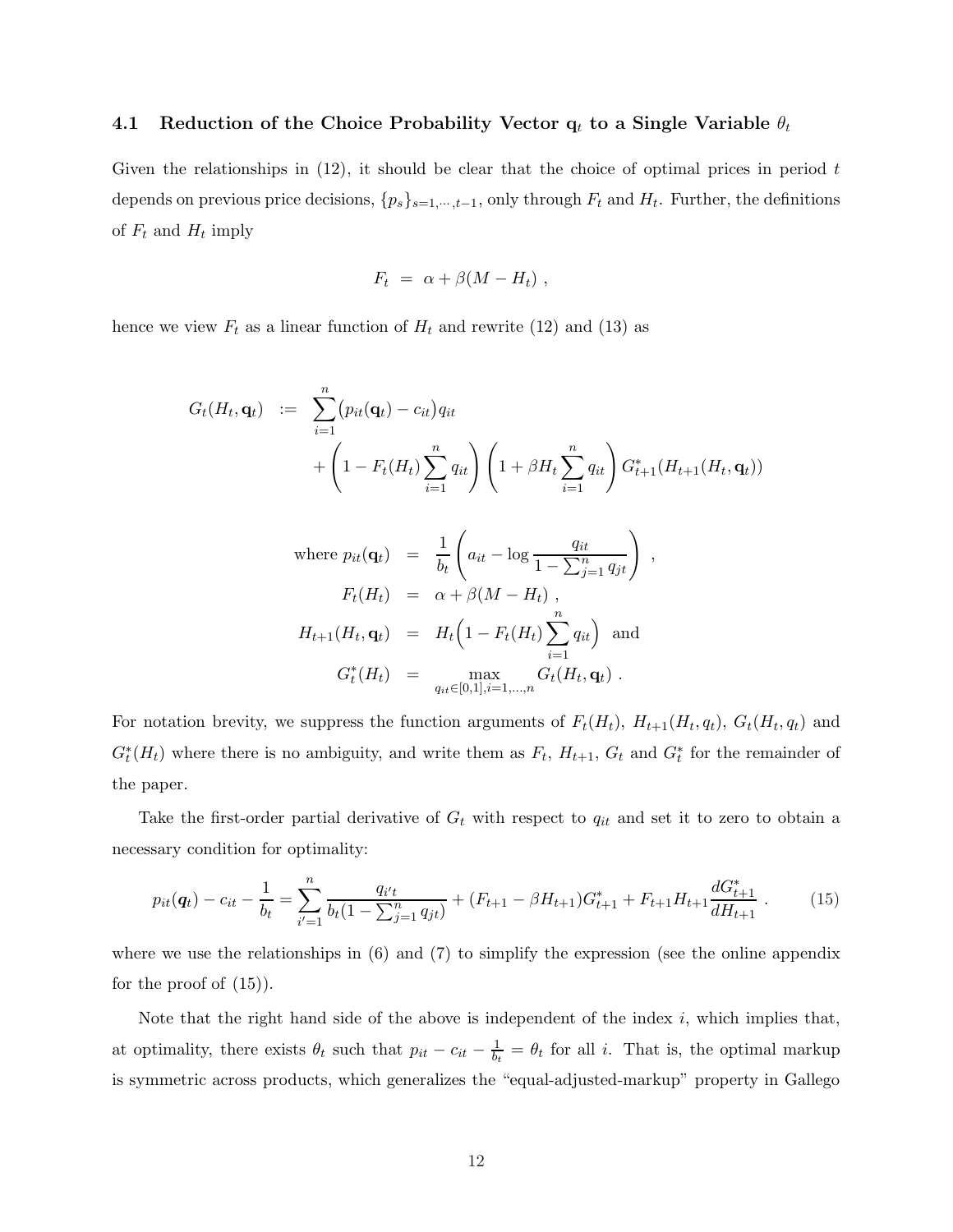### 4.1 Reduction of the Choice Probability Vector  $q_t$  to a Single Variable  $\theta_t$

Given the relationships in  $(12)$ , it should be clear that the choice of optimal prices in period t depends on previous price decisions,  $\{p_s\}_{s=1,\dots,t-1}$ , only through  $F_t$  and  $H_t$ . Further, the definitions of  $F_t$  and  $H_t$  imply

$$
F_t = \alpha + \beta (M - H_t) ,
$$

hence we view  $F_t$  as a linear function of  $H_t$  and rewrite (12) and (13) as

$$
G_t(H_t, \mathbf{q}_t) := \sum_{i=1}^n (p_{it}(\mathbf{q}_t) - c_{it}) q_{it}
$$
  
+ 
$$
\left(1 - F_t(H_t) \sum_{i=1}^n q_{it}\right) \left(1 + \beta H_t \sum_{i=1}^n q_{it}\right) G_{t+1}^*(H_{t+1}(H_t, \mathbf{q}_t))
$$

where 
$$
p_{it}(\mathbf{q}_t) = \frac{1}{b_t} \left( a_{it} - \log \frac{q_{it}}{1 - \sum_{j=1}^n q_{jt}} \right)
$$
,  
\n $F_t(H_t) = \alpha + \beta(M - H_t)$ ,  
\n $H_{t+1}(H_t, \mathbf{q}_t) = H_t \left( 1 - F_t(H_t) \sum_{i=1}^n q_{it} \right)$  and  
\n $G_t^*(H_t) = \max_{q_{it} \in [0,1], i=1,...,n} G_t(H_t, \mathbf{q}_t)$ .

For notation brevity, we suppress the function arguments of  $F_t(H_t)$ ,  $H_{t+1}(H_t, q_t)$ ,  $G_t(H_t, q_t)$  and  $G_t^*(H_t)$  where there is no ambiguity, and write them as  $F_t$ ,  $H_{t+1}$ ,  $G_t$  and  $G_t^*$  for the remainder of the paper.

Take the first-order partial derivative of  $G_t$  with respect to  $q_{it}$  and set it to zero to obtain a necessary condition for optimality:

$$
p_{it}(\mathbf{q}_t) - c_{it} - \frac{1}{b_t} = \sum_{i'=1}^n \frac{q_{i't}}{b_t (1 - \sum_{j=1}^n q_{jt})} + (F_{t+1} - \beta H_{t+1}) G_{t+1}^* + F_{t+1} H_{t+1} \frac{d G_{t+1}^*}{d H_{t+1}}.
$$
(15)

where we use the relationships in  $(6)$  and  $(7)$  to simplify the expression (see the online appendix for the proof of  $(15)$ ).

Note that the right hand side of the above is independent of the index  $i$ , which implies that, at optimality, there exists  $\theta_t$  such that  $p_{it} - c_{it} - \frac{1}{b_t} = \theta_t$  for all i. That is, the optimal markup is symmetric across products, which generalizes the "equal-adjusted-markup" property in Gallego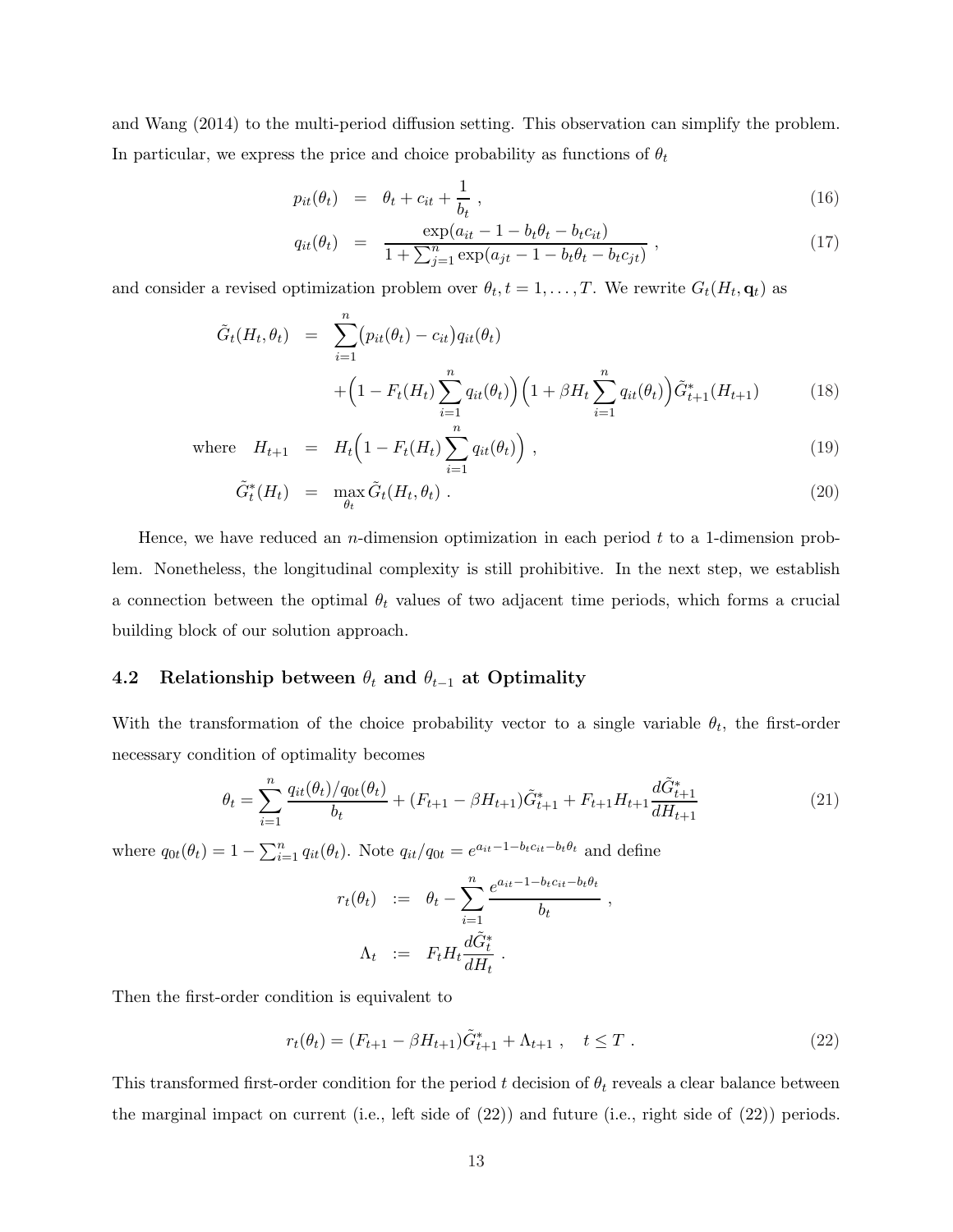and Wang (2014) to the multi-period diffusion setting. This observation can simplify the problem. In particular, we express the price and choice probability as functions of  $\theta_t$ 

$$
p_{it}(\theta_t) = \theta_t + c_{it} + \frac{1}{b_t} \,, \tag{16}
$$

$$
q_{it}(\theta_t) = \frac{\exp(a_{it} - 1 - b_t \theta_t - b_t c_{it})}{1 + \sum_{j=1}^n \exp(a_{jt} - 1 - b_t \theta_t - b_t c_{jt})},
$$
\n(17)

and consider a revised optimization problem over  $\theta_t, t = 1, \ldots, T$ . We rewrite  $G_t(H_t, \mathbf{q}_t)$  as

$$
\tilde{G}_t(H_t, \theta_t) = \sum_{i=1}^n (p_{it}(\theta_t) - c_{it}) q_{it}(\theta_t) + \left(1 - F_t(H_t) \sum_{i=1}^n q_{it}(\theta_t)\right) \left(1 + \beta H_t \sum_{i=1}^n q_{it}(\theta_t)\right) \tilde{G}_{t+1}^*(H_{t+1})
$$
\n(18)

where 
$$
H_{t+1} = H_t \left( 1 - F_t(H_t) \sum_{i=1}^n q_{it}(\theta_t) \right)
$$
, (19)

$$
\tilde{G}_t^*(H_t) = \max_{\theta_t} \tilde{G}_t(H_t, \theta_t) . \tag{20}
$$

Hence, we have reduced an n-dimension optimization in each period  $t$  to a 1-dimension problem. Nonetheless, the longitudinal complexity is still prohibitive. In the next step, we establish a connection between the optimal  $\theta_t$  values of two adjacent time periods, which forms a crucial building block of our solution approach.

### 4.2 Relationship between  $\theta_t$  and  $\theta_{t-1}$  at Optimality

With the transformation of the choice probability vector to a single variable  $\theta_t$ , the first-order necessary condition of optimality becomes

$$
\theta_t = \sum_{i=1}^n \frac{q_{it}(\theta_t)/q_{0t}(\theta_t)}{b_t} + (F_{t+1} - \beta H_{t+1})\tilde{G}_{t+1}^* + F_{t+1}H_{t+1}\frac{d\tilde{G}_{t+1}^*}{dH_{t+1}}
$$
(21)

where  $q_{0t}(\theta_t) = 1 - \sum_{i=1}^n q_{it}(\theta_t)$ . Note  $q_{it}/q_{0t} = e^{a_{it}-1-b_t c_{it}-b_t \theta_t}$  and define

$$
r_t(\theta_t) := \theta_t - \sum_{i=1}^n \frac{e^{a_{it}-1-b_t c_{it}-b_t \theta_t}}{b_t},
$$
  

$$
\Lambda_t := F_t H_t \frac{d\tilde{G}_t^*}{dH_t}.
$$

Then the first-order condition is equivalent to

$$
r_t(\theta_t) = (F_{t+1} - \beta H_{t+1})\tilde{G}_{t+1}^* + \Lambda_{t+1} , \quad t \le T . \tag{22}
$$

This transformed first-order condition for the period  $t$  decision of  $\theta_t$  reveals a clear balance between the marginal impact on current (i.e., left side of (22)) and future (i.e., right side of (22)) periods.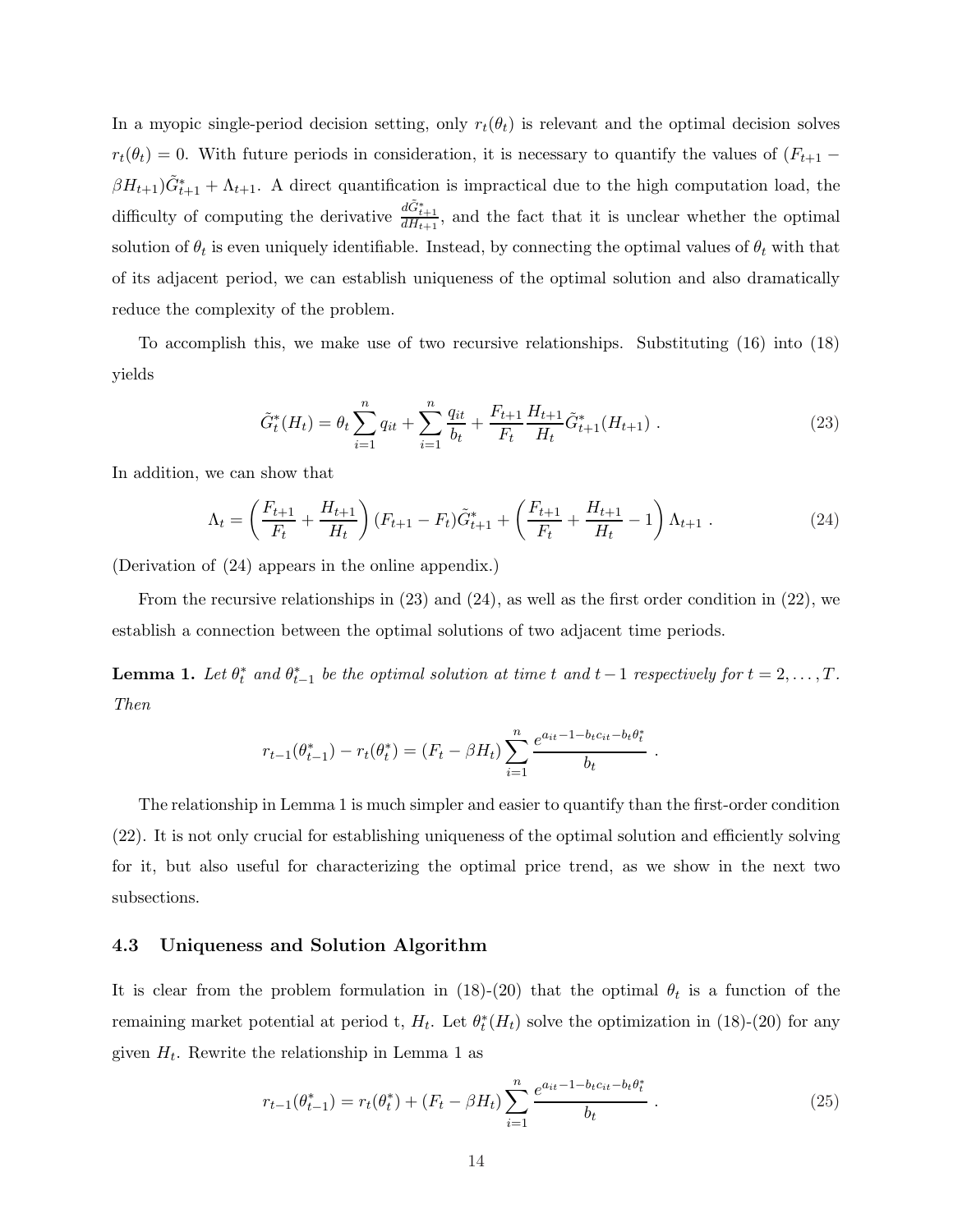In a myopic single-period decision setting, only  $r_t(\theta_t)$  is relevant and the optimal decision solves  $r_t(\theta_t) = 0$ . With future periods in consideration, it is necessary to quantify the values of  $(F_{t+1} \beta H_{t+1}$ ) $\tilde{G}_{t+1}^* + \Lambda_{t+1}$ . A direct quantification is impractical due to the high computation load, the difficulty of computing the derivative  $\frac{d\tilde{G}^*_{t+1}}{dH_{t+1}}$ , and the fact that it is unclear whether the optimal solution of  $\theta_t$  is even uniquely identifiable. Instead, by connecting the optimal values of  $\theta_t$  with that of its adjacent period, we can establish uniqueness of the optimal solution and also dramatically reduce the complexity of the problem.

To accomplish this, we make use of two recursive relationships. Substituting (16) into (18) yields

$$
\tilde{G}_t^*(H_t) = \theta_t \sum_{i=1}^n q_{it} + \sum_{i=1}^n \frac{q_{it}}{b_t} + \frac{F_{t+1}}{F_t} \frac{H_{t+1}}{H_t} \tilde{G}_{t+1}^*(H_{t+1}). \tag{23}
$$

In addition, we can show that

$$
\Lambda_t = \left(\frac{F_{t+1}}{F_t} + \frac{H_{t+1}}{H_t}\right)(F_{t+1} - F_t)\tilde{G}_{t+1}^* + \left(\frac{F_{t+1}}{F_t} + \frac{H_{t+1}}{H_t} - 1\right)\Lambda_{t+1}.
$$
\n(24)

(Derivation of (24) appears in the online appendix.)

From the recursive relationships in  $(23)$  and  $(24)$ , as well as the first order condition in  $(22)$ , we establish a connection between the optimal solutions of two adjacent time periods.

**Lemma 1.** Let  $\theta_t^*$  and  $\theta_{t-1}^*$  be the optimal solution at time t and t – 1 respectively for  $t = 2, ..., T$ . Then

$$
r_{t-1}(\theta_{t-1}^*) - r_t(\theta_t^*) = (F_t - \beta H_t) \sum_{i=1}^n \frac{e^{a_{it} - 1 - b_t c_{it} - b_t \theta_t^*}}{b_t}.
$$

The relationship in Lemma 1 is much simpler and easier to quantify than the first-order condition (22). It is not only crucial for establishing uniqueness of the optimal solution and efficiently solving for it, but also useful for characterizing the optimal price trend, as we show in the next two subsections.

### 4.3 Uniqueness and Solution Algorithm

It is clear from the problem formulation in (18)-(20) that the optimal  $\theta_t$  is a function of the remaining market potential at period t,  $H_t$ . Let  $\theta_t^*(H_t)$  solve the optimization in (18)-(20) for any given  $H_t$ . Rewrite the relationship in Lemma 1 as

$$
r_{t-1}(\theta_{t-1}^*) = r_t(\theta_t^*) + (F_t - \beta H_t) \sum_{i=1}^n \frac{e^{a_{it} - 1 - b_t c_{it} - b_t \theta_t^*}}{b_t} \,. \tag{25}
$$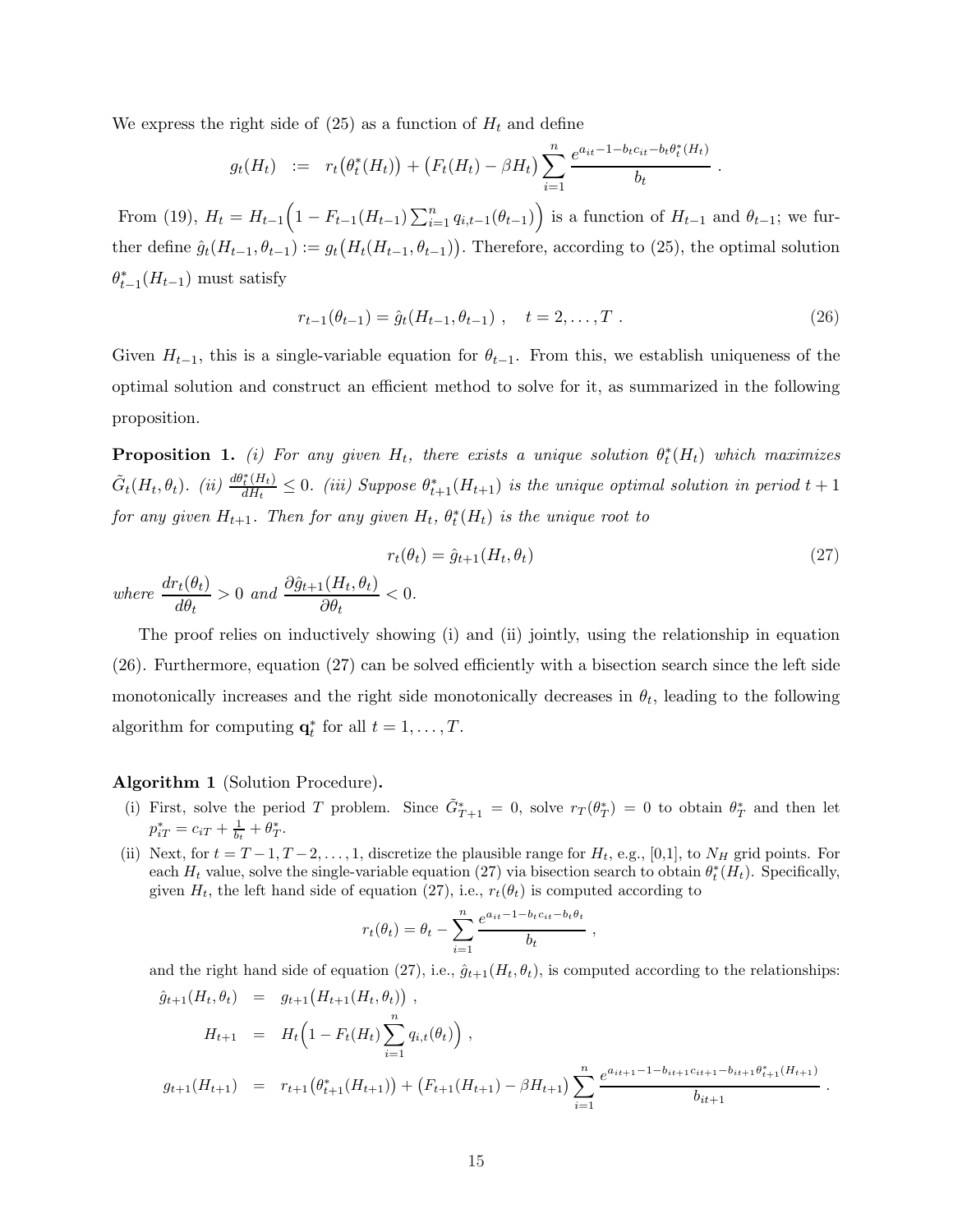We express the right side of  $(25)$  as a function of  $H_t$  and define

$$
g_t(H_t) := r_t(\theta_t^*(H_t)) + (F_t(H_t) - \beta H_t) \sum_{i=1}^n \frac{e^{a_{it} - 1 - b_t c_{it} - b_t \theta_t^*(H_t)}}{b_t}
$$

From (19),  $H_t = H_{t-1} \left( 1 - F_{t-1}(H_{t-1}) \sum_{i=1}^n q_{i,t-1}(\theta_{t-1}) \right)$  is a function of  $H_{t-1}$  and  $\theta_{t-1}$ ; we further define  $\hat{g}_t(H_{t-1}, \theta_{t-1}) := g_t\big(H_t(H_{t-1}, \theta_{t-1})\big)$ . Therefore, according to (25), the optimal solution  $\theta_{t-1}^*(H_{t-1})$  must satisfy

$$
r_{t-1}(\theta_{t-1}) = \hat{g}_t(H_{t-1}, \theta_{t-1}), \quad t = 2, \dots, T. \tag{26}
$$

.

Given  $H_{t-1}$ , this is a single-variable equation for  $\theta_{t-1}$ . From this, we establish uniqueness of the optimal solution and construct an efficient method to solve for it, as summarized in the following proposition.

**Proposition 1.** (i) For any given  $H_t$ , there exists a unique solution  $\theta_t^*(H_t)$  which maximizes  $\tilde{G}_t(H_t, \theta_t)$ . (ii)  $\frac{d\theta_t^*(H_t)}{dH_t}$  $\frac{d_t^*(H_t)}{dH_t} \leq 0$ . (iii) Suppose  $\theta_{t+1}^*(H_{t+1})$  is the unique optimal solution in period  $t+1$ for any given  $H_{t+1}$ . Then for any given  $H_t$ ,  $\theta_t^*(H_t)$  is the unique root to

$$
r_t(\theta_t) = \hat{g}_{t+1}(H_t, \theta_t)
$$
  
\n
$$
re \frac{dr_t(\theta_t)}{d\theta_t} > 0 \text{ and } \frac{\partial \hat{g}_{t+1}(H_t, \theta_t)}{\partial \theta_t} < 0.
$$
\n
$$
(27)
$$

The proof relies on inductively showing (i) and (ii) jointly, using the relationship in equation (26). Furthermore, equation (27) can be solved efficiently with a bisection search since the left side monotonically increases and the right side monotonically decreases in  $\theta_t$ , leading to the following algorithm for computing  $\mathbf{q}_t^*$  for all  $t = 1, \ldots, T$ .

#### Algorithm 1 (Solution Procedure).

 $where$ 

- (i) First, solve the period T problem. Since  $\tilde{G}_{T+1}^* = 0$ , solve  $r_T(\theta_T^*) = 0$  to obtain  $\theta_T^*$  and then let  $p_{iT}^* = c_{iT} + \frac{1}{b_t} + \theta_T^*.$
- (ii) Next, for  $t = T 1, T 2, \ldots, 1$ , discretize the plausible range for  $H_t$ , e.g., [0,1], to  $N_H$  grid points. For each  $H_t$  value, solve the single-variable equation (27) via bisection search to obtain  $\theta_t^*(H_t)$ . Specifically, given  $H_t$ , the left hand side of equation (27), i.e.,  $r_t(\theta_t)$  is computed according to

$$
r_t(\theta_t) = \theta_t - \sum_{i=1}^n \frac{e^{a_{it} - 1 - b_t c_{it} - b_t \theta_t}}{b_t},
$$

and the right hand side of equation (27), i.e.,  $\hat{g}_{t+1}(H_t, \theta_t)$ , is computed according to the relationships:

$$
\hat{g}_{t+1}(H_t, \theta_t) = g_{t+1}(H_{t+1}(H_t, \theta_t)),
$$
\n
$$
H_{t+1} = H_t \left(1 - F_t(H_t) \sum_{i=1}^n q_{i,t}(\theta_t)\right),
$$
\n
$$
g_{t+1}(H_{t+1}) = r_{t+1}(\theta_{t+1}^*(H_{t+1})) + (F_{t+1}(H_{t+1}) - \beta H_{t+1}) \sum_{i=1}^n \frac{e^{a_{it+1} - 1 - b_{it+1}c_{it+1} - b_{it+1}\theta_{t+1}^*(H_{t+1})}}{b_{it+1}}.
$$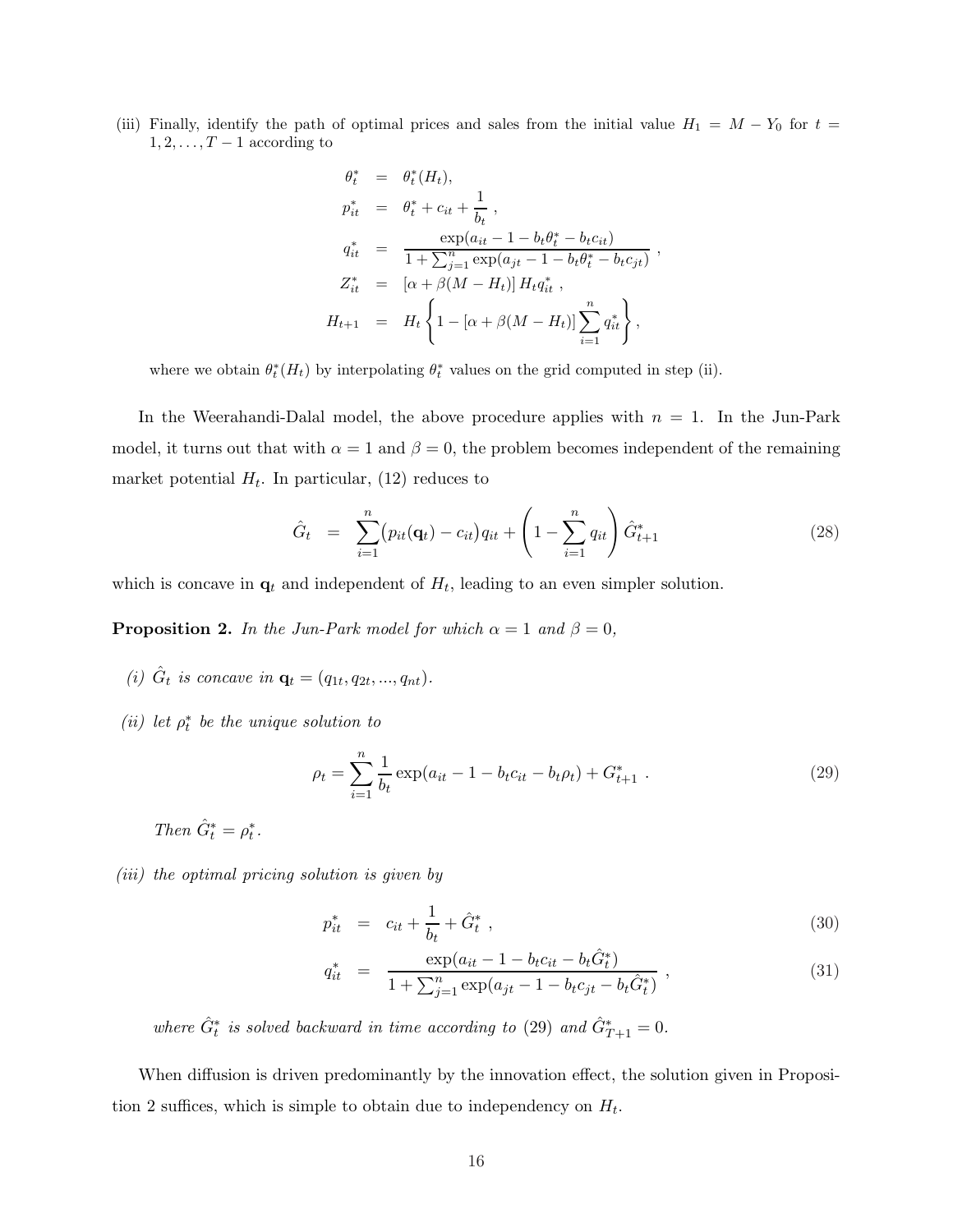(iii) Finally, identify the path of optimal prices and sales from the initial value  $H_1 = M - Y_0$  for  $t =$  $1, 2, \ldots, T-1$  according to

$$
\theta_t^* = \theta_t^*(H_t),
$$
  
\n
$$
p_{it}^* = \theta_t^* + c_{it} + \frac{1}{b_t},
$$
  
\n
$$
q_{it}^* = \frac{\exp(a_{it} - 1 - b_t \theta_t^* - b_t c_{it})}{1 + \sum_{j=1}^n \exp(a_{jt} - 1 - b_t \theta_t^* - b_t c_{jt})}
$$
  
\n
$$
Z_{it}^* = [\alpha + \beta(M - H_t)] H_t q_{it}^*,
$$
  
\n
$$
H_{t+1} = H_t \left\{ 1 - [\alpha + \beta(M - H_t)] \sum_{i=1}^n q_{it}^* \right\},
$$

where we obtain  $\theta_t^*(H_t)$  by interpolating  $\theta_t^*$  values on the grid computed in step (ii).

In the Weerahandi-Dalal model, the above procedure applies with  $n = 1$ . In the Jun-Park model, it turns out that with  $\alpha = 1$  and  $\beta = 0$ , the problem becomes independent of the remaining market potential  $H_t$ . In particular, (12) reduces to

$$
\hat{G}_t = \sum_{i=1}^n (p_{it}(\mathbf{q}_t) - c_{it})q_{it} + \left(1 - \sum_{i=1}^n q_{it}\right)\hat{G}_{t+1}^*
$$
\n(28)

,

which is concave in  $q_t$  and independent of  $H_t$ , leading to an even simpler solution.

**Proposition 2.** In the Jun-Park model for which  $\alpha = 1$  and  $\beta = 0$ ,

- (i)  $\hat{G}_t$  is concave in  $\mathbf{q}_t = (q_{1t}, q_{2t}, ..., q_{nt}).$
- (ii) let  $\rho_t^*$  be the unique solution to

$$
\rho_t = \sum_{i=1}^n \frac{1}{b_t} \exp(a_{it} - 1 - b_t c_{it} - b_t \rho_t) + G_{t+1}^* \tag{29}
$$

- Then  $\hat{G}_t^* = \rho_t^*$ .
- (iii) the optimal pricing solution is given by

$$
p_{it}^{*} = c_{it} + \frac{1}{b_{t}} + \hat{G}_{t}^{*} , \qquad (30)
$$

$$
q_{it}^{*} = \frac{\exp(a_{it} - 1 - b_{t}c_{it} - b_{t}\hat{G}_{t}^{*})}{1 + \sum_{j=1}^{n} \exp(a_{jt} - 1 - b_{t}c_{jt} - b_{t}\hat{G}_{t}^{*})},
$$
\n(31)

where  $\hat{G}^*_{t}$  is solved backward in time according to (29) and  $\hat{G}^*_{T+1} = 0$ .

When diffusion is driven predominantly by the innovation effect, the solution given in Proposition 2 suffices, which is simple to obtain due to independency on  $H_t$ .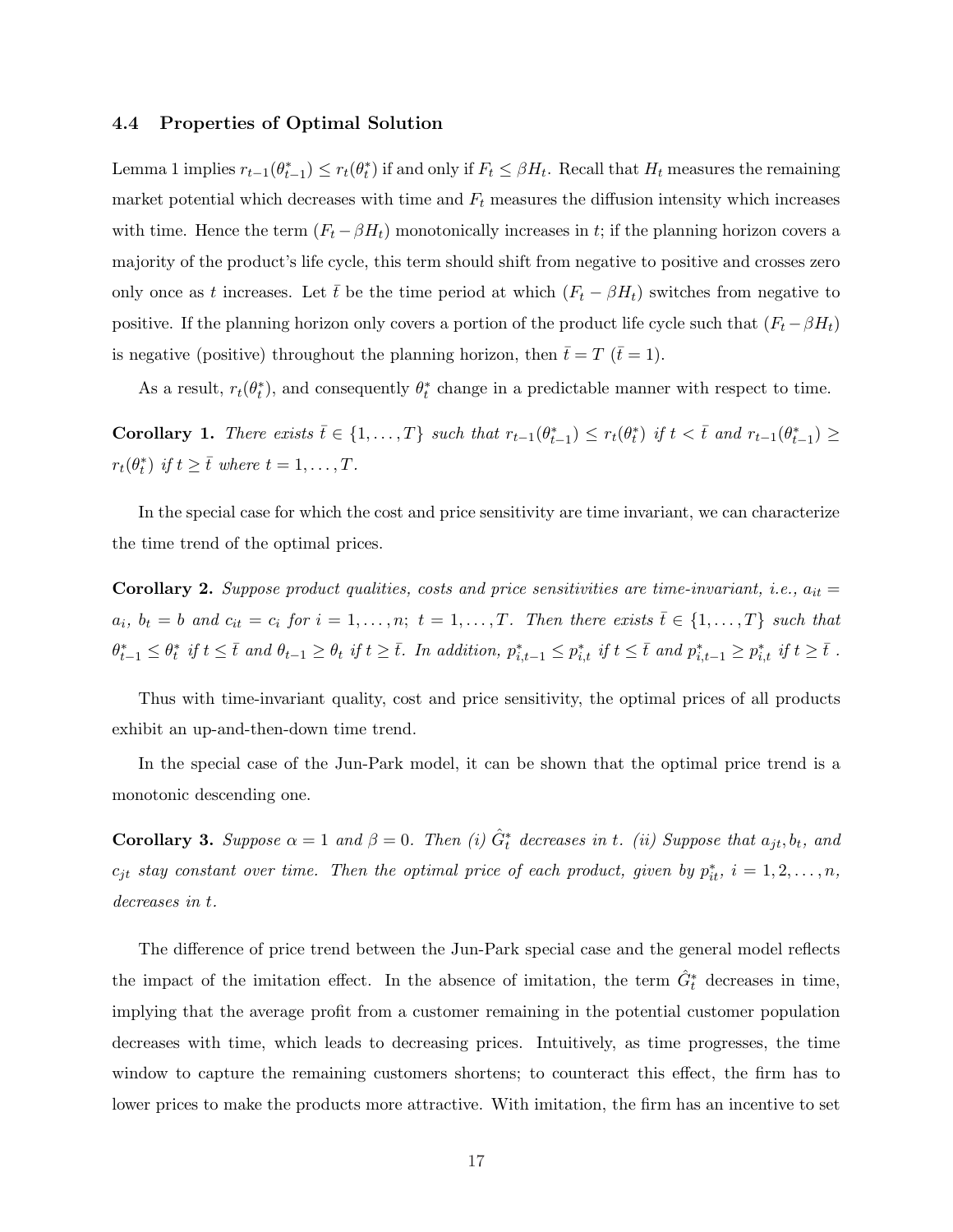#### 4.4 Properties of Optimal Solution

Lemma 1 implies  $r_{t-1}(\theta_{t-1}^*) \leq r_t(\theta_t^*)$  if and only if  $F_t \leq \beta H_t$ . Recall that  $H_t$  measures the remaining market potential which decreases with time and  $F_t$  measures the diffusion intensity which increases with time. Hence the term  $(F_t - \beta H_t)$  monotonically increases in t; if the planning horizon covers a majority of the product's life cycle, this term should shift from negative to positive and crosses zero only once as t increases. Let  $\bar{t}$  be the time period at which  $(F_t - \beta H_t)$  switches from negative to positive. If the planning horizon only covers a portion of the product life cycle such that  $(F_t - \beta H_t)$ is negative (positive) throughout the planning horizon, then  $\bar{t}=T$  ( $\bar{t}=1$ ).

As a result,  $r_t(\theta_t^*)$ , and consequently  $\theta_t^*$  change in a predictable manner with respect to time.

Corollary 1. There exists  $\overline{t} \in \{1, ..., T\}$  such that  $r_{t-1}(\theta_{t-1}^*) \leq r_t(\theta_t^*)$  if  $t < \overline{t}$  and  $r_{t-1}(\theta_{t-1}^*) \geq$  $r_t(\theta_t^*)$  if  $t \geq \overline{t}$  where  $t = 1, \ldots, T$ .

In the special case for which the cost and price sensitivity are time invariant, we can characterize the time trend of the optimal prices.

Corollary 2. Suppose product qualities, costs and price sensitivities are time-invariant, i.e.,  $a_{it} =$  $a_i, b_t = b$  and  $c_{it} = c_i$  for  $i = 1, \ldots, n; t = 1, \ldots, T$ . Then there exists  $\overline{t} \in \{1, \ldots, T\}$  such that  $\theta_{t-1}^* \leq \theta_t^*$  if  $t \leq \overline{t}$  and  $\theta_{t-1} \geq \theta_t$  if  $t \geq \overline{t}$ . In addition,  $p_{i,t-1}^* \leq p_{i,t}^*$  if  $t \leq \overline{t}$  and  $p_{i,t-1}^* \geq p_{i,t}^*$  if  $t \geq \overline{t}$ .

Thus with time-invariant quality, cost and price sensitivity, the optimal prices of all products exhibit an up-and-then-down time trend.

In the special case of the Jun-Park model, it can be shown that the optimal price trend is a monotonic descending one.

**Corollary 3.** Suppose  $\alpha = 1$  and  $\beta = 0$ . Then (i)  $\hat{G}^*_t$  decreases in t. (ii) Suppose that  $a_{jt}, b_t$ , and  $c_{jt}$  stay constant over time. Then the optimal price of each product, given by  $p_{it}^*, i = 1, 2, \ldots, n$ , decreases in t.

The difference of price trend between the Jun-Park special case and the general model reflects the impact of the imitation effect. In the absence of imitation, the term  $\hat{G}^*$  decreases in time, implying that the average profit from a customer remaining in the potential customer population decreases with time, which leads to decreasing prices. Intuitively, as time progresses, the time window to capture the remaining customers shortens; to counteract this effect, the firm has to lower prices to make the products more attractive. With imitation, the firm has an incentive to set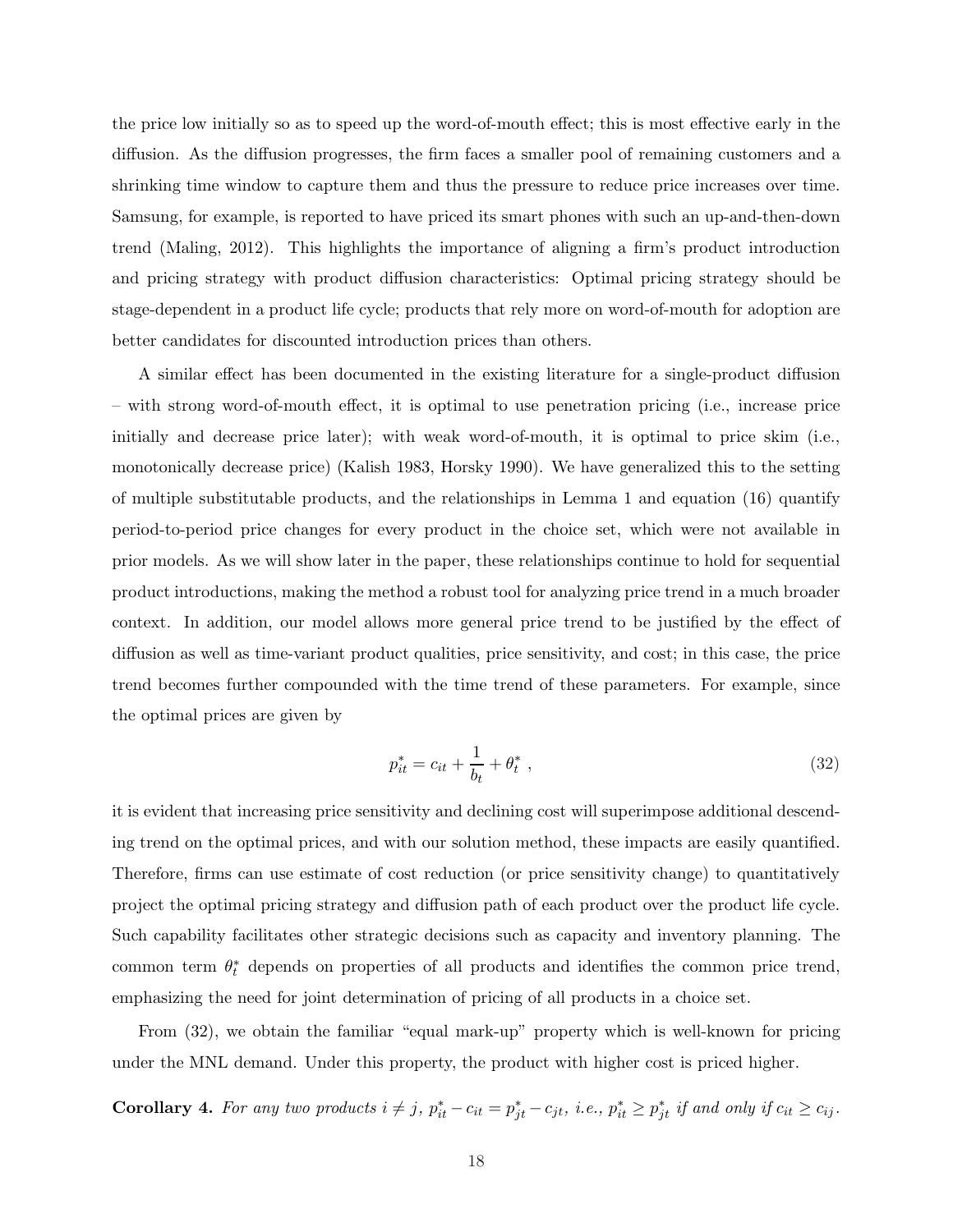the price low initially so as to speed up the word-of-mouth effect; this is most effective early in the diffusion. As the diffusion progresses, the firm faces a smaller pool of remaining customers and a shrinking time window to capture them and thus the pressure to reduce price increases over time. Samsung, for example, is reported to have priced its smart phones with such an up-and-then-down trend (Maling, 2012). This highlights the importance of aligning a firm's product introduction and pricing strategy with product diffusion characteristics: Optimal pricing strategy should be stage-dependent in a product life cycle; products that rely more on word-of-mouth for adoption are better candidates for discounted introduction prices than others.

A similar effect has been documented in the existing literature for a single-product diffusion – with strong word-of-mouth effect, it is optimal to use penetration pricing (i.e., increase price initially and decrease price later); with weak word-of-mouth, it is optimal to price skim (i.e., monotonically decrease price) (Kalish 1983, Horsky 1990). We have generalized this to the setting of multiple substitutable products, and the relationships in Lemma 1 and equation (16) quantify period-to-period price changes for every product in the choice set, which were not available in prior models. As we will show later in the paper, these relationships continue to hold for sequential product introductions, making the method a robust tool for analyzing price trend in a much broader context. In addition, our model allows more general price trend to be justified by the effect of diffusion as well as time-variant product qualities, price sensitivity, and cost; in this case, the price trend becomes further compounded with the time trend of these parameters. For example, since the optimal prices are given by

$$
p_{it}^{*} = c_{it} + \frac{1}{b_t} + \theta_t^*,
$$
\n(32)

it is evident that increasing price sensitivity and declining cost will superimpose additional descending trend on the optimal prices, and with our solution method, these impacts are easily quantified. Therefore, firms can use estimate of cost reduction (or price sensitivity change) to quantitatively project the optimal pricing strategy and diffusion path of each product over the product life cycle. Such capability facilitates other strategic decisions such as capacity and inventory planning. The common term  $\theta_t^*$  depends on properties of all products and identifies the common price trend, emphasizing the need for joint determination of pricing of all products in a choice set.

From (32), we obtain the familiar "equal mark-up" property which is well-known for pricing under the MNL demand. Under this property, the product with higher cost is priced higher.

**Corollary 4.** For any two products  $i \neq j$ ,  $p_{it}^* - c_{it} = p_{jt}^* - c_{jt}$ , i.e.,  $p_{it}^* \geq p_{jt}^*$  if and only if  $c_{it} \geq c_{ij}$ .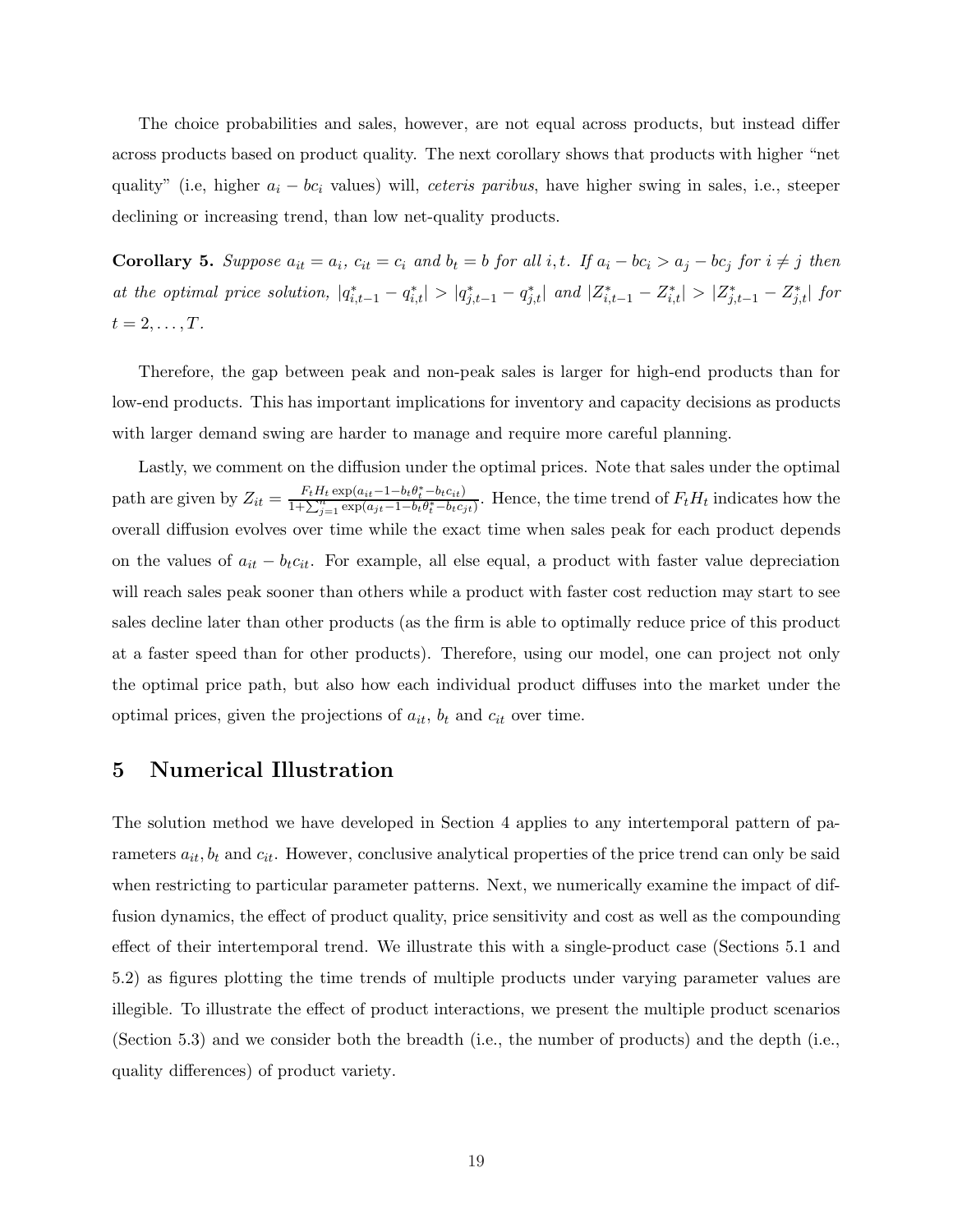The choice probabilities and sales, however, are not equal across products, but instead differ across products based on product quality. The next corollary shows that products with higher "net quality" (i.e, higher  $a_i - bc_i$  values) will, *ceteris paribus*, have higher swing in sales, i.e., steeper declining or increasing trend, than low net-quality products.

**Corollary 5.** Suppose  $a_{it} = a_i$ ,  $c_{it} = c_i$  and  $b_t = b$  for all i, t. If  $a_i - bc_i > a_j - bc_j$  for  $i \neq j$  then at the optimal price solution,  $|q_{i,t-1}^* - q_{i,t}^*| > |q_{j,t-1}^* - q_{j,t}^*|$  and  $|Z_{i,t-1}^* - Z_{i,t}^*| > |Z_{j,t-1}^* - Z_{j,t}^*|$  for  $t=2,\ldots,T$ .

Therefore, the gap between peak and non-peak sales is larger for high-end products than for low-end products. This has important implications for inventory and capacity decisions as products with larger demand swing are harder to manage and require more careful planning.

Lastly, we comment on the diffusion under the optimal prices. Note that sales under the optimal path are given by  $Z_{it} = \frac{F_t H_t \exp(a_{it}-1-b_t \theta_t^* - b_t c_{it})}{1+\sum_{j=1}^n \exp(a_{jt}-1-b_t \theta_t^* - b_t c_{jt})}$ . Hence, the time trend of  $F_t H_t$  indicates how the overall diffusion evolves over time while the exact time when sales peak for each product depends on the values of  $a_{it} - b_t c_{it}$ . For example, all else equal, a product with faster value depreciation will reach sales peak sooner than others while a product with faster cost reduction may start to see sales decline later than other products (as the firm is able to optimally reduce price of this product at a faster speed than for other products). Therefore, using our model, one can project not only the optimal price path, but also how each individual product diffuses into the market under the optimal prices, given the projections of  $a_{it}$ ,  $b_t$  and  $c_{it}$  over time.

## 5 Numerical Illustration

The solution method we have developed in Section 4 applies to any intertemporal pattern of parameters  $a_{it}$ ,  $b_t$  and  $c_{it}$ . However, conclusive analytical properties of the price trend can only be said when restricting to particular parameter patterns. Next, we numerically examine the impact of diffusion dynamics, the effect of product quality, price sensitivity and cost as well as the compounding effect of their intertemporal trend. We illustrate this with a single-product case (Sections 5.1 and 5.2) as figures plotting the time trends of multiple products under varying parameter values are illegible. To illustrate the effect of product interactions, we present the multiple product scenarios (Section 5.3) and we consider both the breadth (i.e., the number of products) and the depth (i.e., quality differences) of product variety.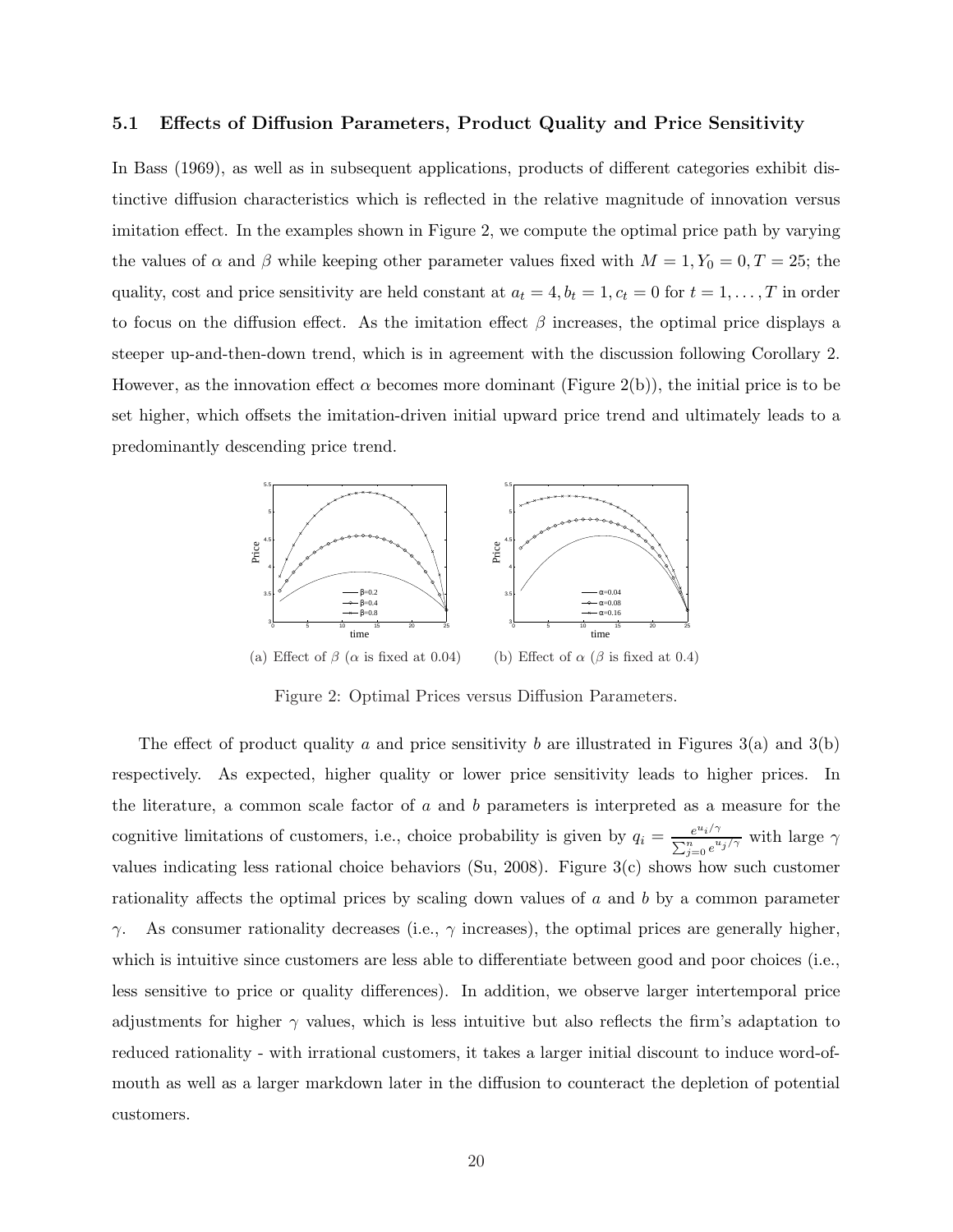#### 5.1 Effects of Diffusion Parameters, Product Quality and Price Sensitivity

In Bass (1969), as well as in subsequent applications, products of different categories exhibit distinctive diffusion characteristics which is reflected in the relative magnitude of innovation versus imitation effect. In the examples shown in Figure 2, we compute the optimal price path by varying the values of  $\alpha$  and  $\beta$  while keeping other parameter values fixed with  $M = 1, Y_0 = 0, T = 25$ ; the quality, cost and price sensitivity are held constant at  $a_t = 4$ ,  $b_t = 1$ ,  $c_t = 0$  for  $t = 1, ..., T$  in order to focus on the diffusion effect. As the imitation effect  $\beta$  increases, the optimal price displays a steeper up-and-then-down trend, which is in agreement with the discussion following Corollary 2. However, as the innovation effect  $\alpha$  becomes more dominant (Figure 2(b)), the initial price is to be set higher, which offsets the imitation-driven initial upward price trend and ultimately leads to a predominantly descending price trend.



Figure 2: Optimal Prices versus Diffusion Parameters.

The effect of product quality a and price sensitivity b are illustrated in Figures  $3(a)$  and  $3(b)$ respectively. As expected, higher quality or lower price sensitivity leads to higher prices. In the literature, a common scale factor of a and b parameters is interpreted as a measure for the cognitive limitations of customers, i.e., choice probability is given by  $q_i = \frac{e^{u_i/\gamma}}{\sum_{i=1}^n x_i}$  $\frac{e^{u_i/\gamma}}{\sum_{j=0}^n e^{u_j/\gamma}}$  with large  $\gamma$ values indicating less rational choice behaviors (Su, 2008). Figure 3(c) shows how such customer rationality affects the optimal prices by scaling down values of a and b by a common parameter  $γ.$  As consumer rationality decreases (i.e.,  $γ$  increases), the optimal prices are generally higher, which is intuitive since customers are less able to differentiate between good and poor choices (i.e., less sensitive to price or quality differences). In addition, we observe larger intertemporal price adjustments for higher  $\gamma$  values, which is less intuitive but also reflects the firm's adaptation to reduced rationality - with irrational customers, it takes a larger initial discount to induce word-ofmouth as well as a larger markdown later in the diffusion to counteract the depletion of potential customers.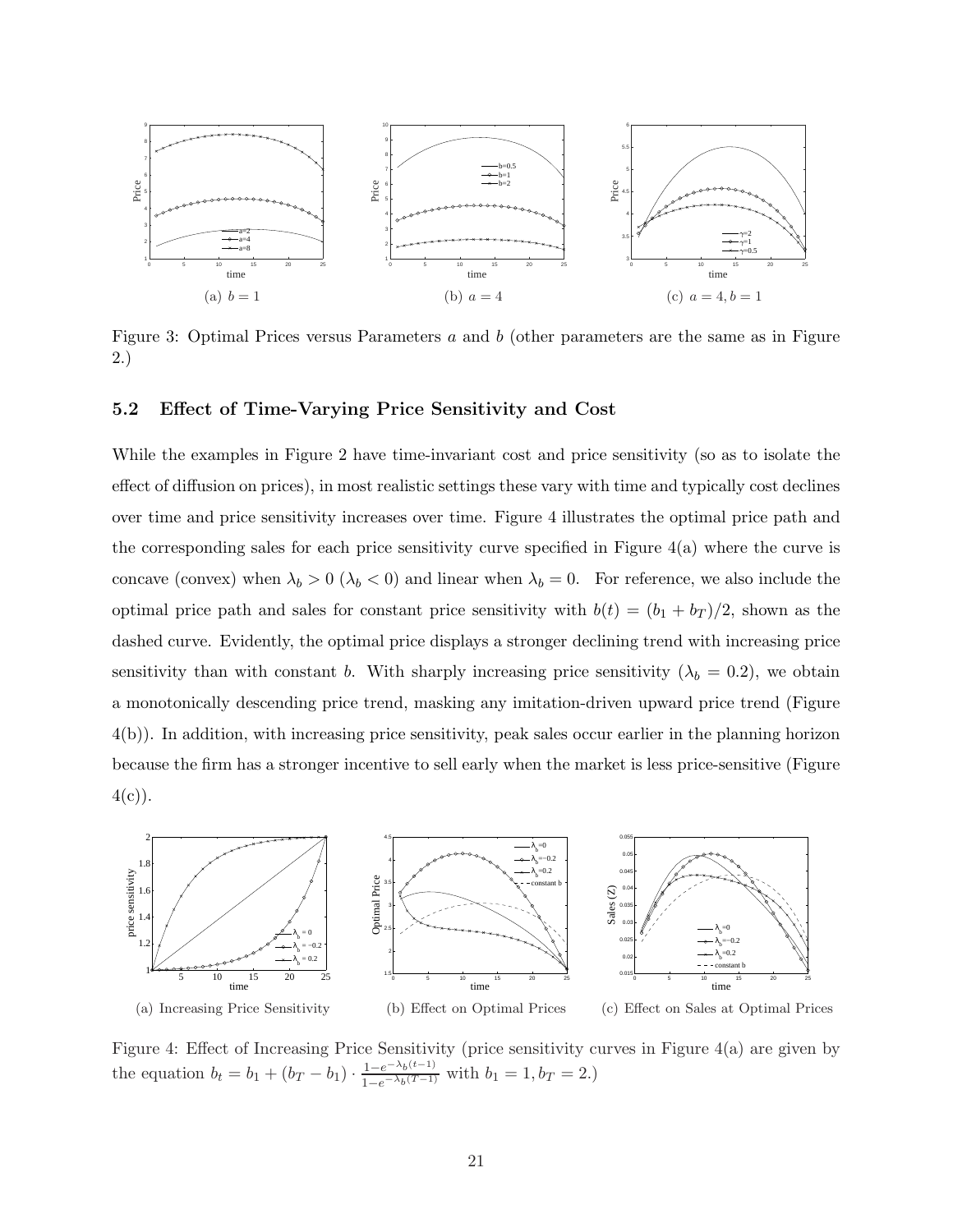

Figure 3: Optimal Prices versus Parameters a and b (other parameters are the same as in Figure 2.)

### 5.2 Effect of Time-Varying Price Sensitivity and Cost

While the examples in Figure 2 have time-invariant cost and price sensitivity (so as to isolate the effect of diffusion on prices), in most realistic settings these vary with time and typically cost declines over time and price sensitivity increases over time. Figure 4 illustrates the optimal price path and the corresponding sales for each price sensitivity curve specified in Figure 4(a) where the curve is concave (convex) when  $\lambda_b > 0$  ( $\lambda_b < 0$ ) and linear when  $\lambda_b = 0$ . For reference, we also include the optimal price path and sales for constant price sensitivity with  $b(t) = (b_1 + b_T)/2$ , shown as the dashed curve. Evidently, the optimal price displays a stronger declining trend with increasing price sensitivity than with constant b. With sharply increasing price sensitivity  $(\lambda_b = 0.2)$ , we obtain a monotonically descending price trend, masking any imitation-driven upward price trend (Figure 4(b)). In addition, with increasing price sensitivity, peak sales occur earlier in the planning horizon because the firm has a stronger incentive to sell early when the market is less price-sensitive (Figure  $4(c)$ ).



Figure 4: Effect of Increasing Price Sensitivity (price sensitivity curves in Figure 4(a) are given by the equation  $b_t = b_1 + (b_T - b_1) \cdot \frac{1 - e^{-\lambda_b(t-1)}}{1 - e^{-\lambda_b(T-1)}}$  $\frac{1-e^{-\lambda_b(v-1)}}{1-e^{-\lambda_b(T-1)}}$  with  $b_1 = 1, b_T = 2.$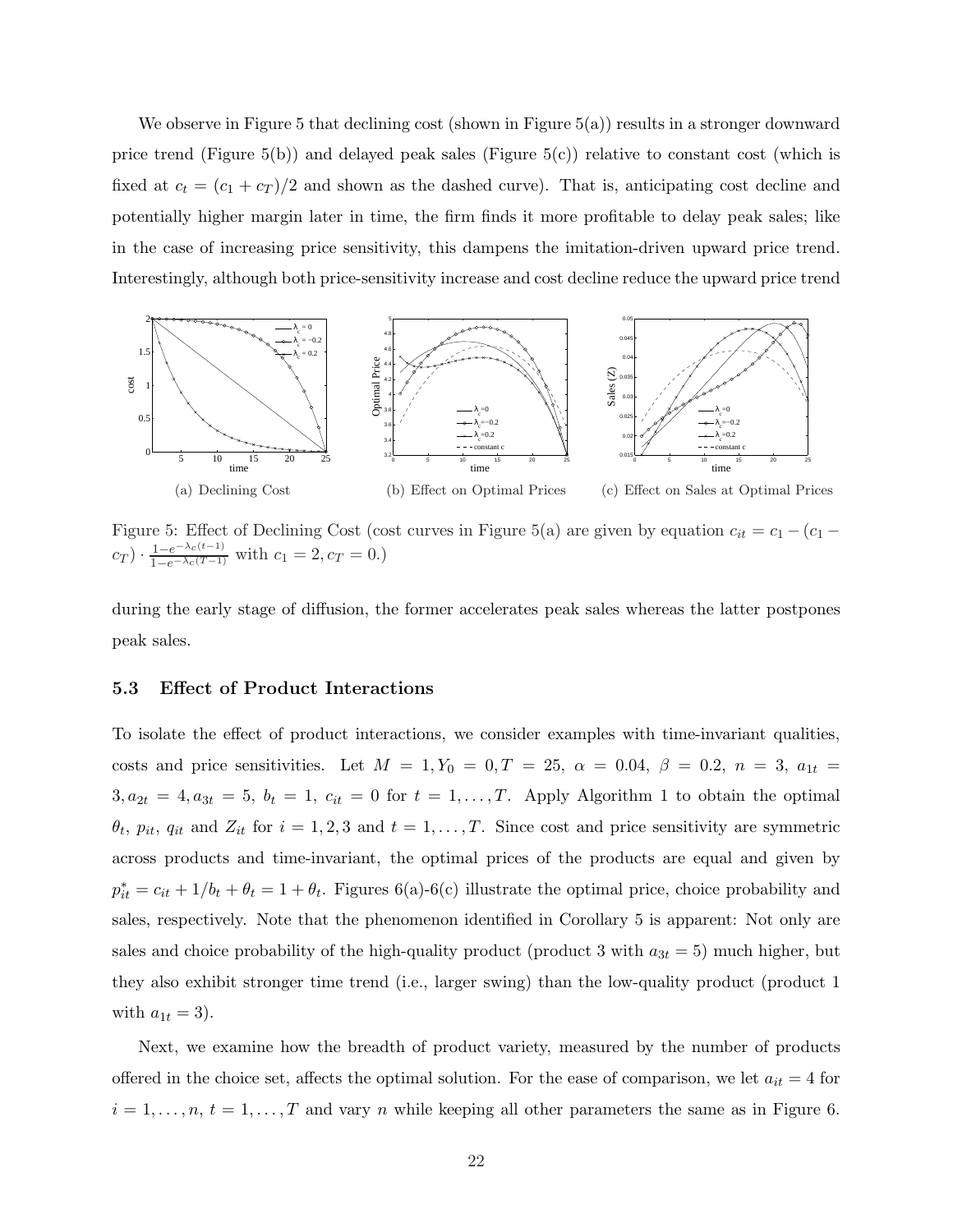We observe in Figure 5 that declining cost (shown in Figure 5(a)) results in a stronger downward price trend (Figure 5(b)) and delayed peak sales (Figure 5(c)) relative to constant cost (which is fixed at  $c_t = (c_1 + c_T)/2$  and shown as the dashed curve). That is, anticipating cost decline and potentially higher margin later in time, the firm finds it more profitable to delay peak sales; like in the case of increasing price sensitivity, this dampens the imitation-driven upward price trend. Interestingly, although both price-sensitivity increase and cost decline reduce the upward price trend



Figure 5: Effect of Declining Cost (cost curves in Figure 5(a) are given by equation  $c_{it} = c_1 - (c_1 - c_2)$  $c_T$ ) ·  $\frac{1-e^{-\lambda_c(t-1)}}{1-e^{-\lambda_c(T-1)}}$  with  $c_1 = 2, c_T = 0.$ )

during the early stage of diffusion, the former accelerates peak sales whereas the latter postpones peak sales.

#### 5.3 Effect of Product Interactions

To isolate the effect of product interactions, we consider examples with time-invariant qualities, costs and price sensitivities. Let  $M = 1, Y_0 = 0, T = 25, \ \alpha = 0.04, \ \beta = 0.2, \ n = 3, \ a_{1t} =$  $3, a_{2t} = 4, a_{3t} = 5, b_t = 1, c_{it} = 0$  for  $t = 1, \ldots, T$ . Apply Algorithm 1 to obtain the optimal  $\theta_t$ ,  $p_{it}$ ,  $q_{it}$  and  $Z_{it}$  for  $i = 1, 2, 3$  and  $t = 1, \ldots, T$ . Since cost and price sensitivity are symmetric across products and time-invariant, the optimal prices of the products are equal and given by  $p_{it}^* = c_{it} + 1/b_t + \theta_t = 1 + \theta_t$ . Figures 6(a)-6(c) illustrate the optimal price, choice probability and sales, respectively. Note that the phenomenon identified in Corollary 5 is apparent: Not only are sales and choice probability of the high-quality product (product 3 with  $a_{3t} = 5$ ) much higher, but they also exhibit stronger time trend (i.e., larger swing) than the low-quality product (product 1 with  $a_{1t} = 3$ ).

Next, we examine how the breadth of product variety, measured by the number of products offered in the choice set, affects the optimal solution. For the ease of comparison, we let  $a_{it} = 4$  for  $i = 1, \ldots, n, t = 1, \ldots, T$  and vary n while keeping all other parameters the same as in Figure 6.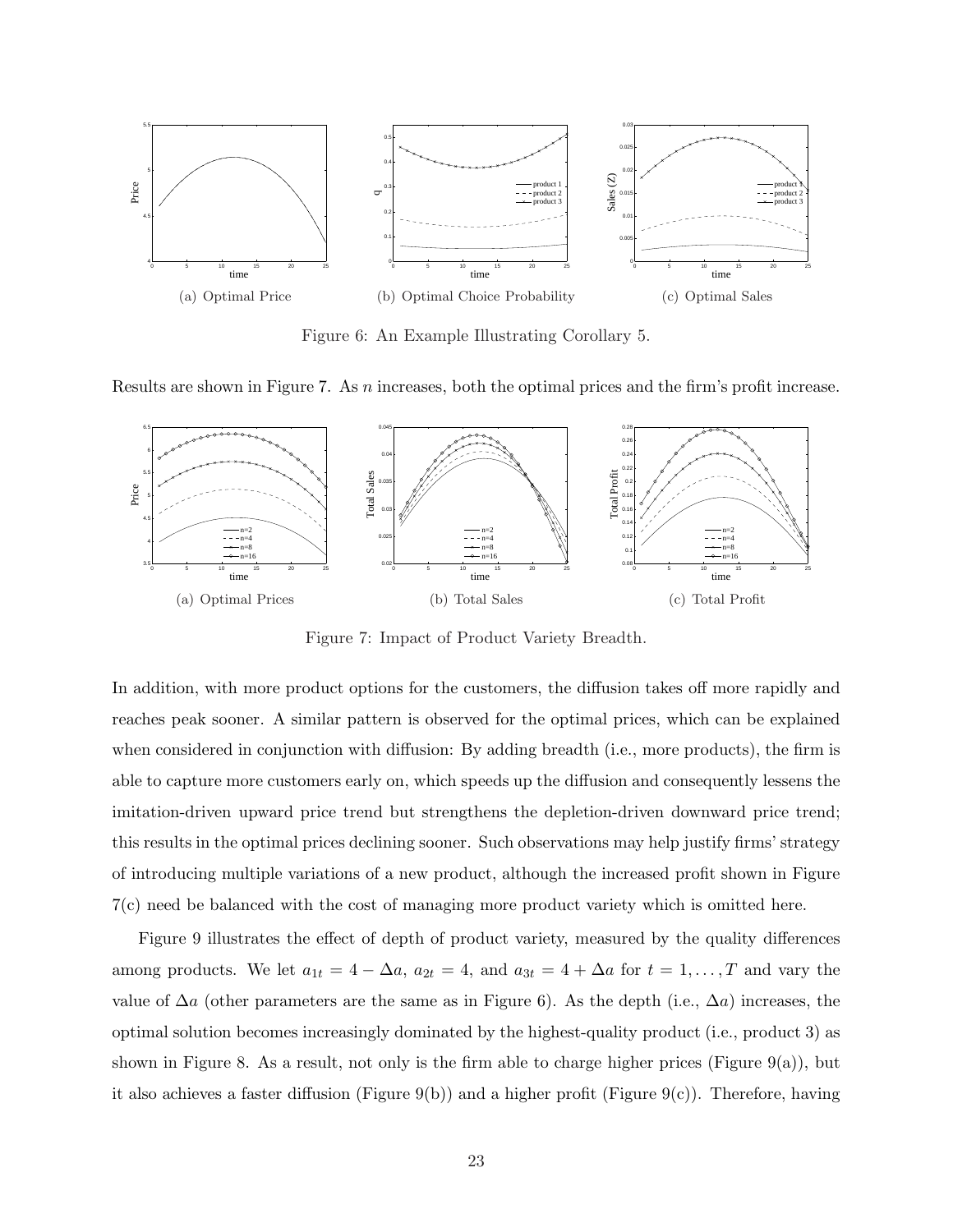

Figure 6: An Example Illustrating Corollary 5.

Results are shown in Figure 7. As n increases, both the optimal prices and the firm's profit increase.



Figure 7: Impact of Product Variety Breadth.

In addition, with more product options for the customers, the diffusion takes off more rapidly and reaches peak sooner. A similar pattern is observed for the optimal prices, which can be explained when considered in conjunction with diffusion: By adding breadth (i.e., more products), the firm is able to capture more customers early on, which speeds up the diffusion and consequently lessens the imitation-driven upward price trend but strengthens the depletion-driven downward price trend; this results in the optimal prices declining sooner. Such observations may help justify firms' strategy of introducing multiple variations of a new product, although the increased profit shown in Figure 7(c) need be balanced with the cost of managing more product variety which is omitted here.

Figure 9 illustrates the effect of depth of product variety, measured by the quality differences among products. We let  $a_{1t} = 4 - \Delta a$ ,  $a_{2t} = 4$ , and  $a_{3t} = 4 + \Delta a$  for  $t = 1, ..., T$  and vary the value of  $\Delta a$  (other parameters are the same as in Figure 6). As the depth (i.e.,  $\Delta a$ ) increases, the optimal solution becomes increasingly dominated by the highest-quality product (i.e., product 3) as shown in Figure 8. As a result, not only is the firm able to charge higher prices (Figure 9(a)), but it also achieves a faster diffusion (Figure 9(b)) and a higher profit (Figure 9(c)). Therefore, having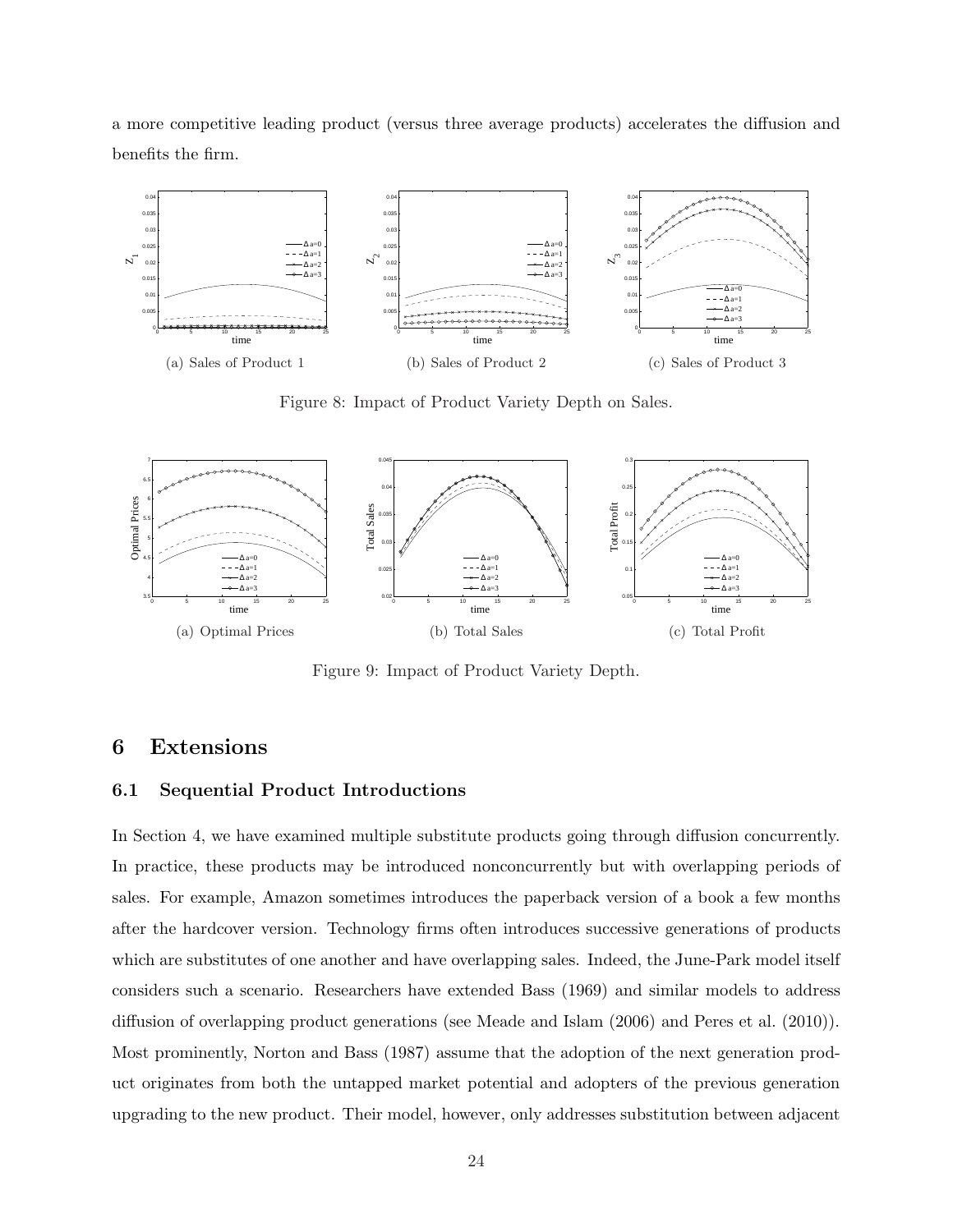a more competitive leading product (versus three average products) accelerates the diffusion and benefits the firm.



Figure 8: Impact of Product Variety Depth on Sales.



Figure 9: Impact of Product Variety Depth.

## 6 Extensions

### 6.1 Sequential Product Introductions

In Section 4, we have examined multiple substitute products going through diffusion concurrently. In practice, these products may be introduced nonconcurrently but with overlapping periods of sales. For example, Amazon sometimes introduces the paperback version of a book a few months after the hardcover version. Technology firms often introduces successive generations of products which are substitutes of one another and have overlapping sales. Indeed, the June-Park model itself considers such a scenario. Researchers have extended Bass (1969) and similar models to address diffusion of overlapping product generations (see Meade and Islam (2006) and Peres et al. (2010)). Most prominently, Norton and Bass (1987) assume that the adoption of the next generation product originates from both the untapped market potential and adopters of the previous generation upgrading to the new product. Their model, however, only addresses substitution between adjacent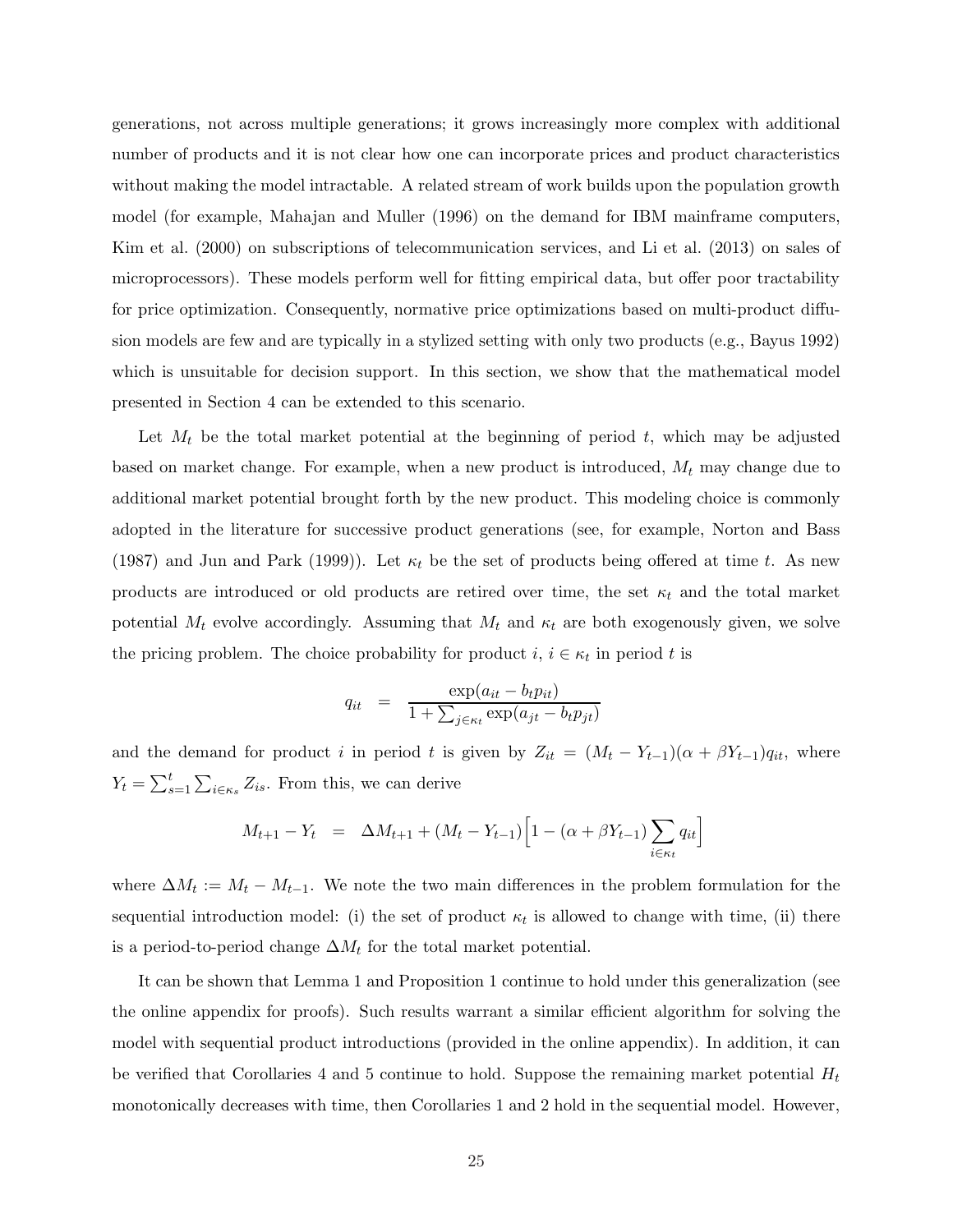generations, not across multiple generations; it grows increasingly more complex with additional number of products and it is not clear how one can incorporate prices and product characteristics without making the model intractable. A related stream of work builds upon the population growth model (for example, Mahajan and Muller (1996) on the demand for IBM mainframe computers, Kim et al. (2000) on subscriptions of telecommunication services, and Li et al. (2013) on sales of microprocessors). These models perform well for fitting empirical data, but offer poor tractability for price optimization. Consequently, normative price optimizations based on multi-product diffusion models are few and are typically in a stylized setting with only two products (e.g., Bayus 1992) which is unsuitable for decision support. In this section, we show that the mathematical model presented in Section 4 can be extended to this scenario.

Let  $M_t$  be the total market potential at the beginning of period  $t$ , which may be adjusted based on market change. For example, when a new product is introduced,  $M_t$  may change due to additional market potential brought forth by the new product. This modeling choice is commonly adopted in the literature for successive product generations (see, for example, Norton and Bass (1987) and Jun and Park (1999)). Let  $\kappa_t$  be the set of products being offered at time t. As new products are introduced or old products are retired over time, the set  $\kappa_t$  and the total market potential  $M_t$  evolve accordingly. Assuming that  $M_t$  and  $\kappa_t$  are both exogenously given, we solve the pricing problem. The choice probability for product  $i, i \in \kappa_t$  in period t is

$$
q_{it} = \frac{\exp(a_{it} - b_t p_{it})}{1 + \sum_{j \in \kappa_t} \exp(a_{jt} - b_t p_{jt})}
$$

and the demand for product i in period t is given by  $Z_{it} = (M_t - Y_{t-1})(\alpha + \beta Y_{t-1})q_{it}$ , where  $Y_t = \sum_{s=1}^t \sum_{i \in \kappa_s} Z_{is}$ . From this, we can derive

$$
M_{t+1} - Y_t = \Delta M_{t+1} + (M_t - Y_{t-1}) \left[ 1 - (\alpha + \beta Y_{t-1}) \sum_{i \in \kappa_t} q_{it} \right]
$$

where  $\Delta M_t := M_t - M_{t-1}$ . We note the two main differences in the problem formulation for the sequential introduction model: (i) the set of product  $\kappa_t$  is allowed to change with time, (ii) there is a period-to-period change  $\Delta M_t$  for the total market potential.

It can be shown that Lemma 1 and Proposition 1 continue to hold under this generalization (see the online appendix for proofs). Such results warrant a similar efficient algorithm for solving the model with sequential product introductions (provided in the online appendix). In addition, it can be verified that Corollaries 4 and 5 continue to hold. Suppose the remaining market potential  $H_t$ monotonically decreases with time, then Corollaries 1 and 2 hold in the sequential model. However,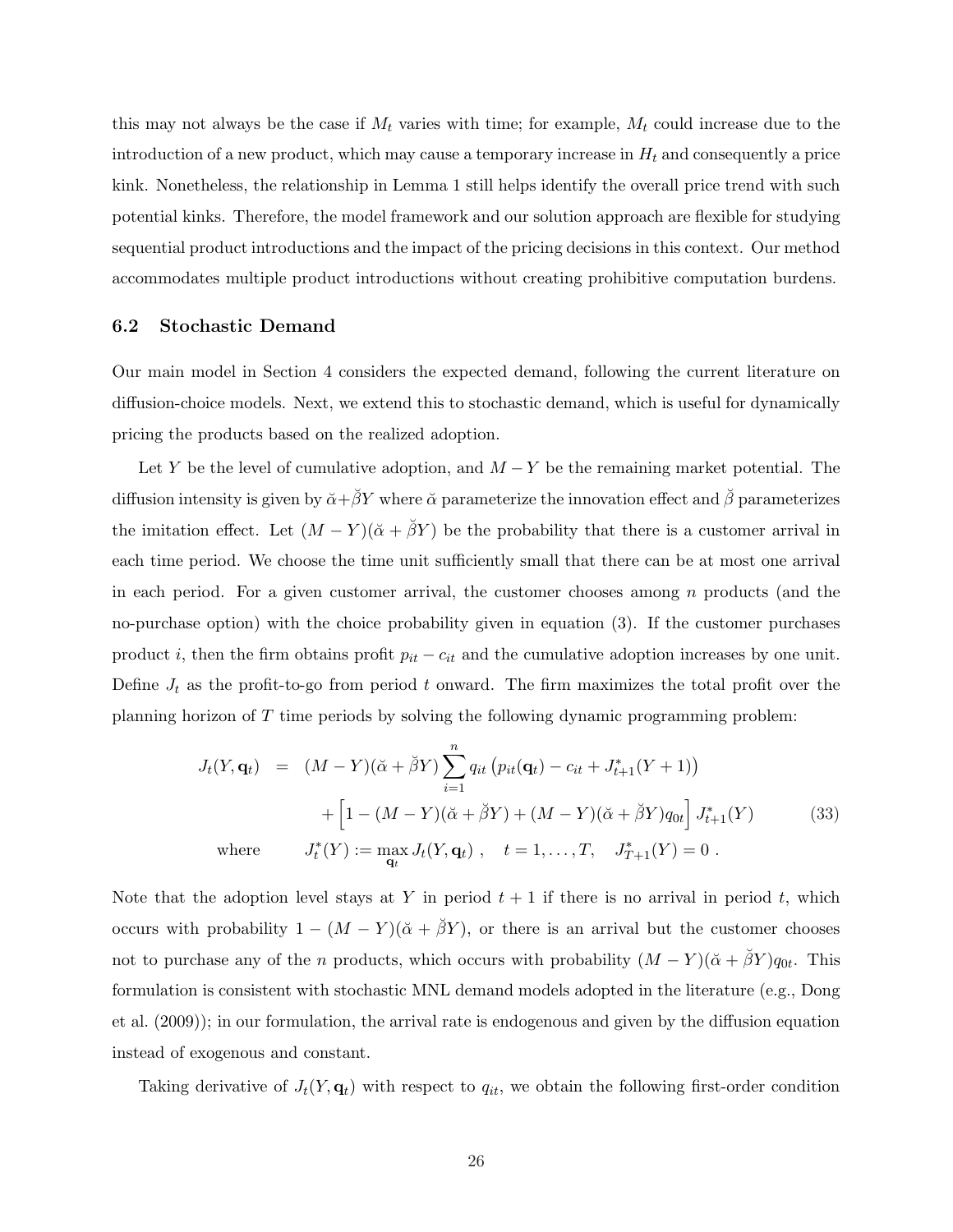this may not always be the case if  $M_t$  varies with time; for example,  $M_t$  could increase due to the introduction of a new product, which may cause a temporary increase in  $H_t$  and consequently a price kink. Nonetheless, the relationship in Lemma 1 still helps identify the overall price trend with such potential kinks. Therefore, the model framework and our solution approach are flexible for studying sequential product introductions and the impact of the pricing decisions in this context. Our method accommodates multiple product introductions without creating prohibitive computation burdens.

#### 6.2 Stochastic Demand

Our main model in Section 4 considers the expected demand, following the current literature on diffusion-choice models. Next, we extend this to stochastic demand, which is useful for dynamically pricing the products based on the realized adoption.

Let Y be the level of cumulative adoption, and  $M - Y$  be the remaining market potential. The diffusion intensity is given by  $\breve{\alpha}+\breve{\beta}Y$  where  $\breve{\alpha}$  parameterize the innovation effect and  $\breve{\beta}$  parameterizes the imitation effect. Let  $(M - Y)(\breve{\alpha} + \breve{\beta}Y)$  be the probability that there is a customer arrival in each time period. We choose the time unit sufficiently small that there can be at most one arrival in each period. For a given customer arrival, the customer chooses among  $n$  products (and the no-purchase option) with the choice probability given in equation (3). If the customer purchases product i, then the firm obtains profit  $p_{it} - c_{it}$  and the cumulative adoption increases by one unit. Define  $J_t$  as the profit-to-go from period t onward. The firm maximizes the total profit over the planning horizon of T time periods by solving the following dynamic programming problem:

$$
J_t(Y, \mathbf{q}_t) = (M - Y)(\breve{\alpha} + \breve{\beta}Y) \sum_{i=1}^n q_{it} (p_{it}(\mathbf{q}_t) - c_{it} + J_{t+1}^*(Y + 1))
$$
  
+ 
$$
\left[1 - (M - Y)(\breve{\alpha} + \breve{\beta}Y) + (M - Y)(\breve{\alpha} + \breve{\beta}Y)q_{0t}\right] J_{t+1}^*(Y) \qquad (33)
$$
  
where 
$$
J_t^*(Y) := \max_{\mathbf{q}_t} J_t(Y, \mathbf{q}_t) , \quad t = 1, ..., T, \quad J_{T+1}^*(Y) = 0 .
$$

Note that the adoption level stays at Y in period  $t + 1$  if there is no arrival in period t, which occurs with probability  $1 - (M - Y)(\check{\alpha} + \check{\beta}Y)$ , or there is an arrival but the customer chooses not to purchase any of the n products, which occurs with probability  $(M - Y)(\breve{\alpha} + \breve{\beta}Y)q_{0t}$ . This formulation is consistent with stochastic MNL demand models adopted in the literature (e.g., Dong et al. (2009)); in our formulation, the arrival rate is endogenous and given by the diffusion equation instead of exogenous and constant.

Taking derivative of  $J_t(Y, \mathbf{q}_t)$  with respect to  $q_{it}$ , we obtain the following first-order condition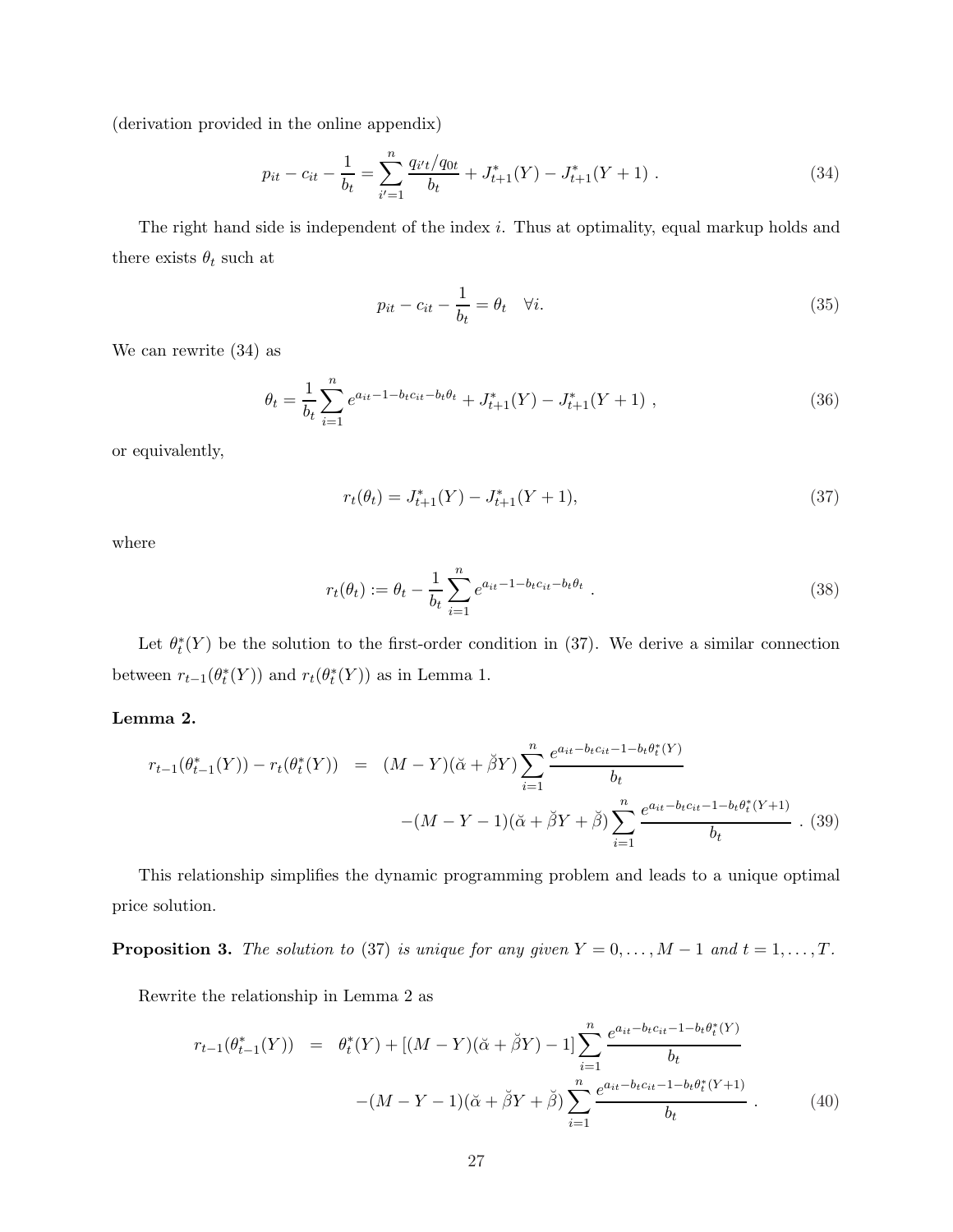(derivation provided in the online appendix)

$$
p_{it} - c_{it} - \frac{1}{b_t} = \sum_{i'=1}^{n} \frac{q_{i't}/q_{0t}}{b_t} + J_{t+1}^*(Y) - J_{t+1}^*(Y+1) \tag{34}
$$

The right hand side is independent of the index i. Thus at optimality, equal markup holds and there exists  $\theta_t$  such at

$$
p_{it} - c_{it} - \frac{1}{b_t} = \theta_t \quad \forall i. \tag{35}
$$

We can rewrite (34) as

$$
\theta_t = \frac{1}{b_t} \sum_{i=1}^n e^{a_{it} - 1 - b_t c_{it} - b_t \theta_t} + J_{t+1}^*(Y) - J_{t+1}^*(Y+1) , \qquad (36)
$$

or equivalently,

$$
r_t(\theta_t) = J_{t+1}^*(Y) - J_{t+1}^*(Y+1),\tag{37}
$$

where

$$
r_t(\theta_t) := \theta_t - \frac{1}{b_t} \sum_{i=1}^n e^{a_{it} - 1 - b_t c_{it} - b_t \theta_t} \tag{38}
$$

Let  $\theta_t^*(Y)$  be the solution to the first-order condition in (37). We derive a similar connection between  $r_{t-1}(\theta_t^*(Y))$  and  $r_t(\theta_t^*(Y))$  as in Lemma 1.

### Lemma 2.

$$
r_{t-1}(\theta_{t-1}^*(Y)) - r_t(\theta_t^*(Y)) = (M - Y)(\breve{\alpha} + \breve{\beta}Y) \sum_{i=1}^n \frac{e^{a_{it} - b_t c_{it} - 1 - b_t \theta_t^*(Y)}}{b_t}
$$

$$
-(M - Y - 1)(\breve{\alpha} + \breve{\beta}Y + \breve{\beta}) \sum_{i=1}^n \frac{e^{a_{it} - b_t c_{it} - 1 - b_t \theta_t^*(Y + 1)}}{b_t} \ . \tag{39}
$$

This relationship simplifies the dynamic programming problem and leads to a unique optimal price solution.

**Proposition 3.** The solution to (37) is unique for any given  $Y = 0, \ldots, M-1$  and  $t = 1, \ldots, T$ .

Rewrite the relationship in Lemma 2 as

$$
r_{t-1}(\theta_{t-1}^*(Y)) = \theta_t^*(Y) + [(M-Y)(\breve{\alpha} + \breve{\beta}Y) - 1] \sum_{i=1}^n \frac{e^{a_{it} - b_t c_{it} - 1 - b_t \theta_t^*(Y)}}{b_t}
$$

$$
-(M - Y - 1)(\breve{\alpha} + \breve{\beta}Y + \breve{\beta}) \sum_{i=1}^n \frac{e^{a_{it} - b_t c_{it} - 1 - b_t \theta_t^*(Y + 1)}}{b_t} \,. \tag{40}
$$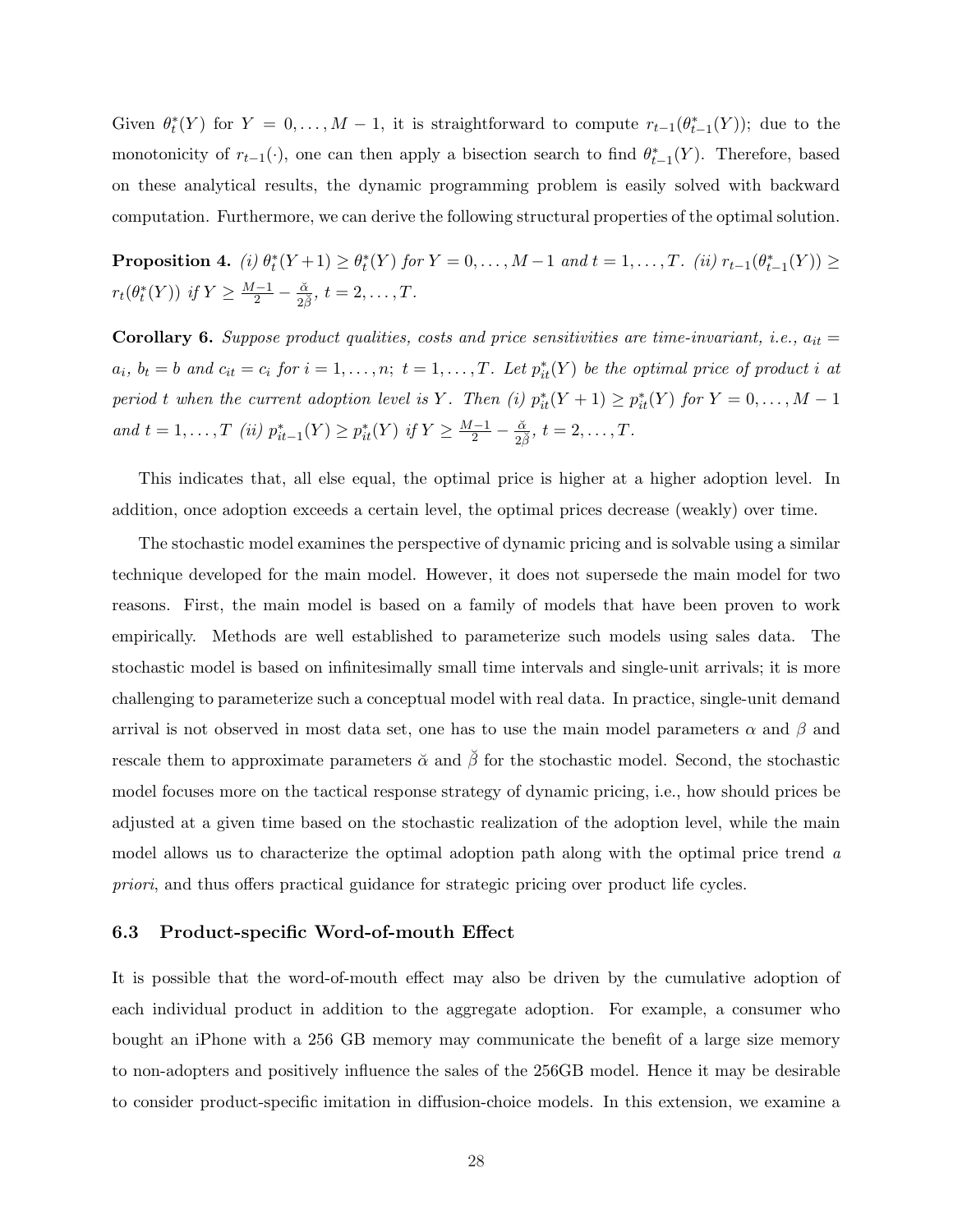Given  $\theta_t^*(Y)$  for  $Y = 0, \ldots, M-1$ , it is straightforward to compute  $r_{t-1}(\theta_{t-1}^*(Y))$ ; due to the monotonicity of  $r_{t-1}(\cdot)$ , one can then apply a bisection search to find  $\theta_{t-1}^*(Y)$ . Therefore, based on these analytical results, the dynamic programming problem is easily solved with backward computation. Furthermore, we can derive the following structural properties of the optimal solution.

**Proposition 4.** (i)  $\theta_t^*(Y+1) \geq \theta_t^*(Y)$  for  $Y = 0, ..., M-1$  and  $t = 1, ..., T$ . (ii)  $r_{t-1}(\theta_{t-1}^*(Y)) \geq$  $r_t(\theta_t^*(Y))$  if  $Y \ge \frac{M-1}{2} - \frac{\check{\alpha}}{2\check{\beta}}, t = 2, \ldots, T$ .

Corollary 6. Suppose product qualities, costs and price sensitivities are time-invariant, i.e.,  $a_{it} =$  $a_i, b_t = b$  and  $c_{it} = c_i$  for  $i = 1, \ldots, n; t = 1, \ldots, T$ . Let  $p_{it}^*(Y)$  be the optimal price of product i at period t when the current adoption level is Y. Then (i)  $p_{it}^*(Y + 1) \geq p_{it}^*(Y)$  for  $Y = 0, ..., M - 1$ and  $t = 1, ..., T$  (ii)  $p_{it-1}^*(Y) \geq p_{it}^*(Y)$  if  $Y \geq \frac{M-1}{2} - \frac{\alpha}{2\beta}, t = 2, ..., T$ .

This indicates that, all else equal, the optimal price is higher at a higher adoption level. In addition, once adoption exceeds a certain level, the optimal prices decrease (weakly) over time.

The stochastic model examines the perspective of dynamic pricing and is solvable using a similar technique developed for the main model. However, it does not supersede the main model for two reasons. First, the main model is based on a family of models that have been proven to work empirically. Methods are well established to parameterize such models using sales data. The stochastic model is based on infinitesimally small time intervals and single-unit arrivals; it is more challenging to parameterize such a conceptual model with real data. In practice, single-unit demand arrival is not observed in most data set, one has to use the main model parameters  $\alpha$  and  $\beta$  and rescale them to approximate parameters  $\check{\alpha}$  and  $\check{\beta}$  for the stochastic model. Second, the stochastic model focuses more on the tactical response strategy of dynamic pricing, i.e., how should prices be adjusted at a given time based on the stochastic realization of the adoption level, while the main model allows us to characterize the optimal adoption path along with the optimal price trend a priori, and thus offers practical guidance for strategic pricing over product life cycles.

#### 6.3 Product-specific Word-of-mouth Effect

It is possible that the word-of-mouth effect may also be driven by the cumulative adoption of each individual product in addition to the aggregate adoption. For example, a consumer who bought an iPhone with a 256 GB memory may communicate the benefit of a large size memory to non-adopters and positively influence the sales of the 256GB model. Hence it may be desirable to consider product-specific imitation in diffusion-choice models. In this extension, we examine a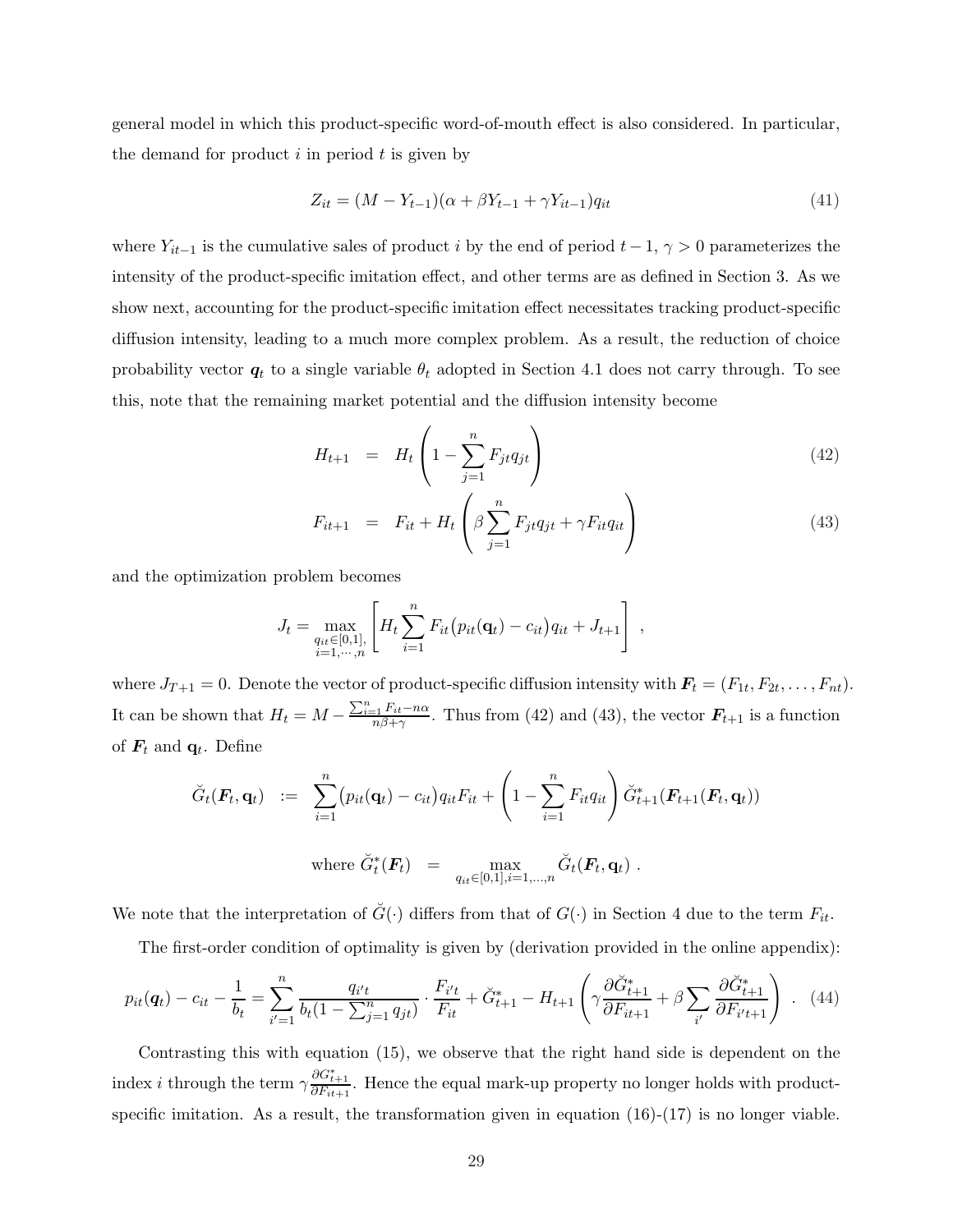general model in which this product-specific word-of-mouth effect is also considered. In particular, the demand for product  $i$  in period  $t$  is given by

$$
Z_{it} = (M - Y_{t-1})(\alpha + \beta Y_{t-1} + \gamma Y_{it-1})q_{it}
$$
\n(41)

where  $Y_{it-1}$  is the cumulative sales of product i by the end of period  $t-1$ ,  $\gamma > 0$  parameterizes the intensity of the product-specific imitation effect, and other terms are as defined in Section 3. As we show next, accounting for the product-specific imitation effect necessitates tracking product-specific diffusion intensity, leading to a much more complex problem. As a result, the reduction of choice probability vector  $q_t$  to a single variable  $\theta_t$  adopted in Section 4.1 does not carry through. To see this, note that the remaining market potential and the diffusion intensity become

$$
H_{t+1} = H_t \left( 1 - \sum_{j=1}^n F_{jt} q_{jt} \right)
$$
 (42)

$$
F_{it+1} = F_{it} + H_t \left( \beta \sum_{j=1}^n F_{jt} q_{jt} + \gamma F_{it} q_{it} \right)
$$
 (43)

and the optimization problem becomes

$$
J_t = \max_{\substack{q_{it} \in [0,1], \\ i=1,\dots,n}} \left[ H_t \sum_{i=1}^n F_{it} (p_{it}(\mathbf{q}_t) - c_{it}) q_{it} + J_{t+1} \right],
$$

where  $J_{T+1} = 0$ . Denote the vector of product-specific diffusion intensity with  $\mathbf{F}_t = (F_{1t}, F_{2t}, \dots, F_{nt})$ . It can be shown that  $H_t = M - \frac{\sum_{i=1}^{n} F_{it} - n\alpha}{n\beta + \gamma}$ . Thus from (42) and (43), the vector  $\mathbf{F}_{t+1}$  is a function of  $\mathbf{F}_t$  and  $\mathbf{q}_t$ . Define

$$
\widetilde{G}_t(\boldsymbol{F}_t, \mathbf{q}_t) \quad := \quad \sum_{i=1}^n (p_{it}(\mathbf{q}_t) - c_{it}) q_{it} F_{it} + \left(1 - \sum_{i=1}^n F_{it} q_{it}\right) \widetilde{G}_{t+1}^*(\boldsymbol{F}_{t+1}(\boldsymbol{F}_t, \mathbf{q}_t))
$$
\n
$$
\text{where } \widetilde{G}_t^*(\boldsymbol{F}_t) = \max_{q_{it} \in [0,1], i=1,\dots,n} \widetilde{G}_t(\boldsymbol{F}_t, \mathbf{q}_t) \; .
$$

We note that the interpretation of  $\check{G}(\cdot)$  differs from that of  $G(\cdot)$  in Section 4 due to the term  $F_{it}$ .

The first-order condition of optimality is given by (derivation provided in the online appendix):

$$
p_{it}(\mathbf{q}_t) - c_{it} - \frac{1}{b_t} = \sum_{i'=1}^n \frac{q_{i't}}{b_t (1 - \sum_{j=1}^n q_{jt})} \cdot \frac{F_{i't}}{F_{it}} + \check{G}_{t+1}^* - H_{t+1} \left( \gamma \frac{\partial \check{G}_{t+1}^*}{\partial F_{it+1}} + \beta \sum_{i'} \frac{\partial \check{G}_{t+1}^*}{\partial F_{i't+1}} \right) \ . \tag{44}
$$

Contrasting this with equation (15), we observe that the right hand side is dependent on the index *i* through the term  $\gamma \frac{\partial G_{t+1}^*}{\partial F_{it+1}}$ . Hence the equal mark-up property no longer holds with productspecific imitation. As a result, the transformation given in equation  $(16)-(17)$  is no longer viable.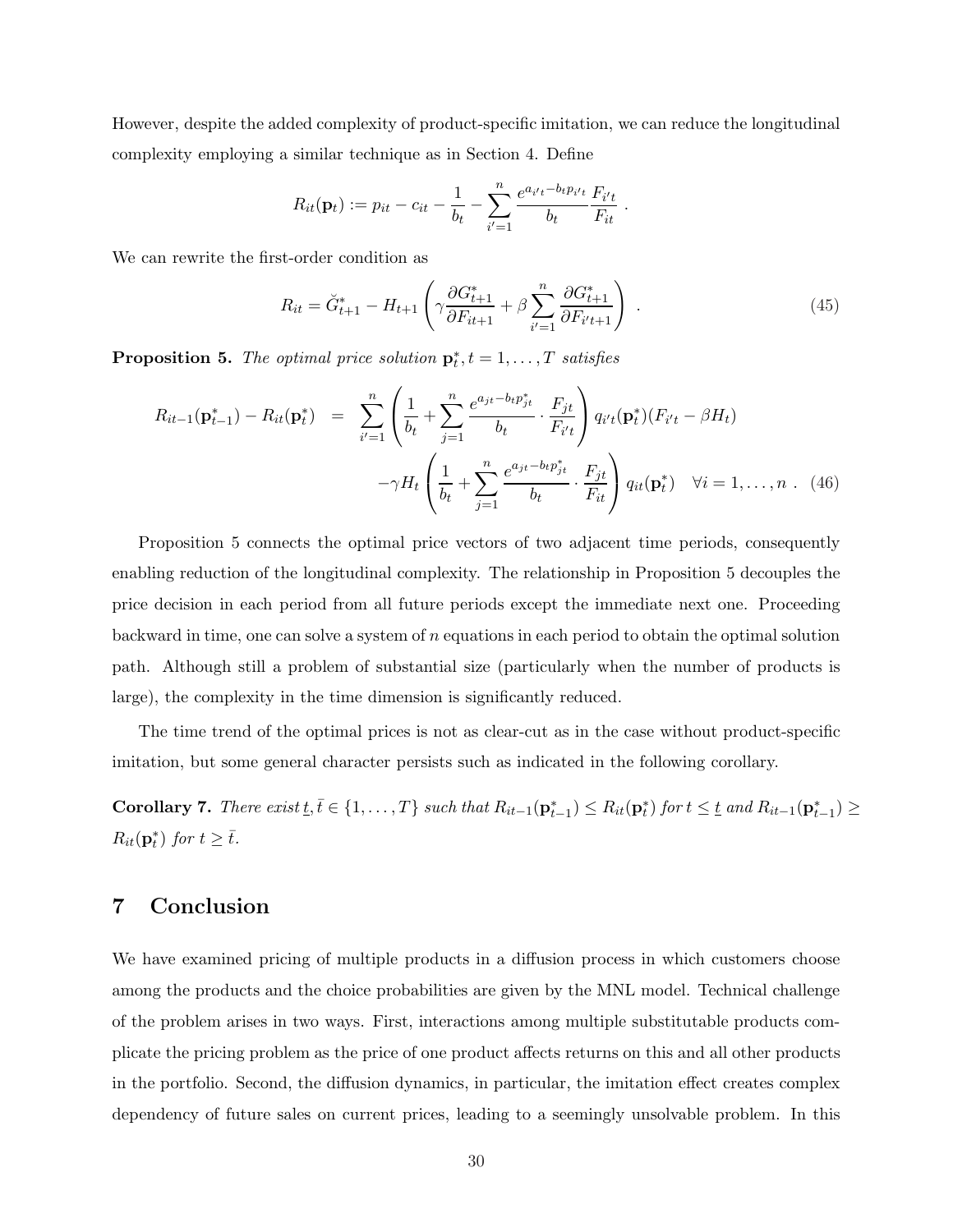However, despite the added complexity of product-specific imitation, we can reduce the longitudinal complexity employing a similar technique as in Section 4. Define

$$
R_{it}(\mathbf{p}_t) := p_{it} - c_{it} - \frac{1}{b_t} - \sum_{i'=1}^n \frac{e^{a_{i't} - b_{t} p_{i't}}}{b_t} \frac{F_{i't}}{F_{it}}
$$

We can rewrite the first-order condition as

$$
R_{it} = \breve{G}_{t+1}^* - H_{t+1} \left( \gamma \frac{\partial G_{t+1}^*}{\partial F_{it+1}} + \beta \sum_{i'=1}^n \frac{\partial G_{t+1}^*}{\partial F_{i't+1}} \right) \tag{45}
$$

.

**Proposition 5.** The optimal price solution  $\mathbf{p}_t^*, t = 1, \ldots, T$  satisfies

$$
R_{it-1}(\mathbf{p}_{t-1}^*) - R_{it}(\mathbf{p}_t^*) = \sum_{i'=1}^n \left( \frac{1}{b_t} + \sum_{j=1}^n \frac{e^{a_{jt} - b_t p_{jt}^*}}{b_t} \cdot \frac{F_{jt}}{F_{i't}} \right) q_{i't}(\mathbf{p}_t^*)(F_{i't} - \beta H_t) - \gamma H_t \left( \frac{1}{b_t} + \sum_{j=1}^n \frac{e^{a_{jt} - b_t p_{jt}^*}}{b_t} \cdot \frac{F_{jt}}{F_{it}} \right) q_{it}(\mathbf{p}_t^*) \quad \forall i = 1, ..., n. \quad (46)
$$

Proposition 5 connects the optimal price vectors of two adjacent time periods, consequently enabling reduction of the longitudinal complexity. The relationship in Proposition 5 decouples the price decision in each period from all future periods except the immediate next one. Proceeding backward in time, one can solve a system of  $n$  equations in each period to obtain the optimal solution path. Although still a problem of substantial size (particularly when the number of products is large), the complexity in the time dimension is significantly reduced.

The time trend of the optimal prices is not as clear-cut as in the case without product-specific imitation, but some general character persists such as indicated in the following corollary.

Corollary 7. There exist  $\underline{t}, \overline{t} \in \{1, ..., T\}$  such that  $R_{it-1}(\mathbf{p}_{t-1}^*) \leq R_{it}(\mathbf{p}_t^*)$  for  $t \leq \underline{t}$  and  $R_{it-1}(\mathbf{p}_{t-1}^*) \geq$  $R_{it}(\mathbf{p}_t^*)$  for  $t \geq \bar{t}$ .

## 7 Conclusion

We have examined pricing of multiple products in a diffusion process in which customers choose among the products and the choice probabilities are given by the MNL model. Technical challenge of the problem arises in two ways. First, interactions among multiple substitutable products complicate the pricing problem as the price of one product affects returns on this and all other products in the portfolio. Second, the diffusion dynamics, in particular, the imitation effect creates complex dependency of future sales on current prices, leading to a seemingly unsolvable problem. In this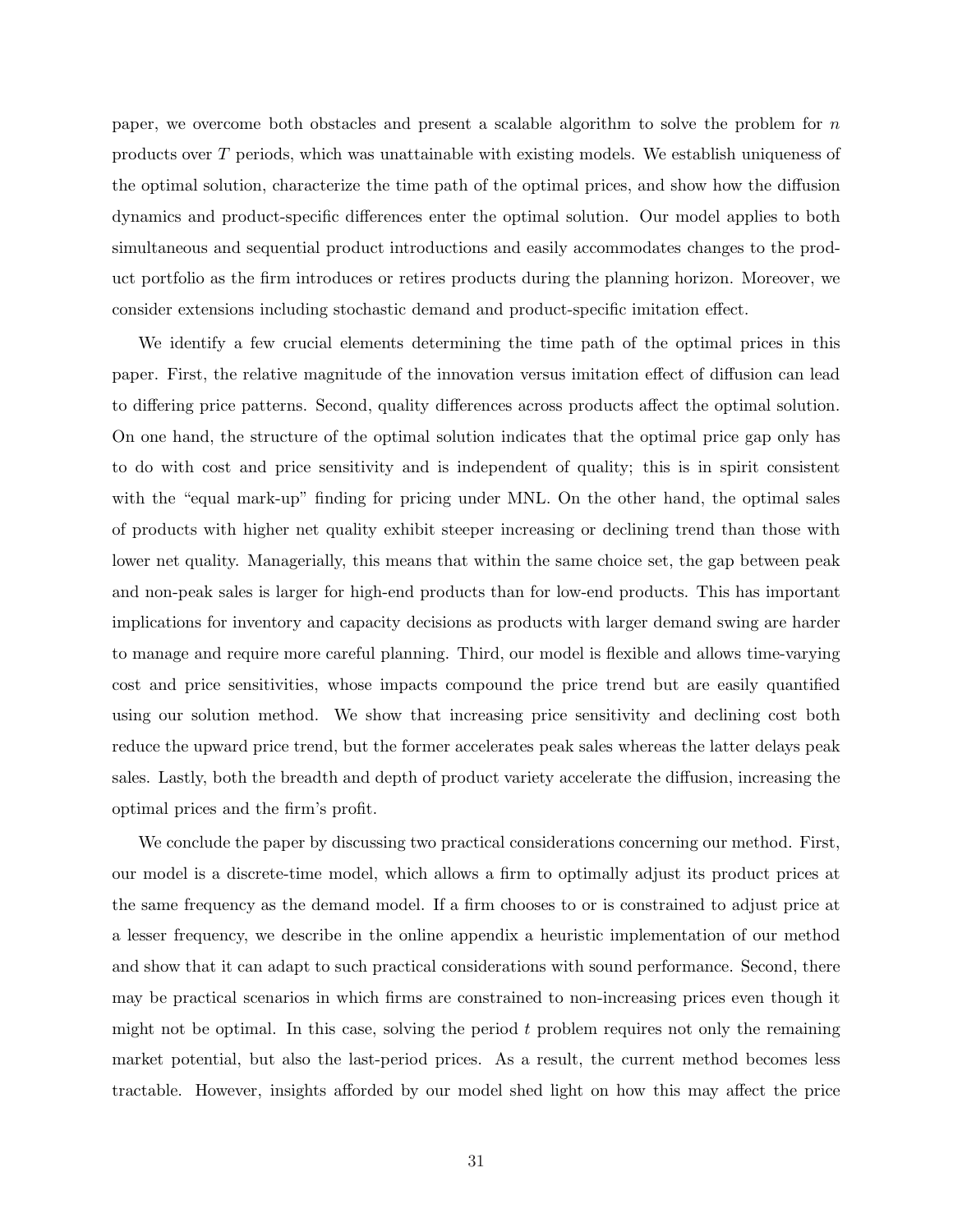paper, we overcome both obstacles and present a scalable algorithm to solve the problem for  $n$ products over T periods, which was unattainable with existing models. We establish uniqueness of the optimal solution, characterize the time path of the optimal prices, and show how the diffusion dynamics and product-specific differences enter the optimal solution. Our model applies to both simultaneous and sequential product introductions and easily accommodates changes to the product portfolio as the firm introduces or retires products during the planning horizon. Moreover, we consider extensions including stochastic demand and product-specific imitation effect.

We identify a few crucial elements determining the time path of the optimal prices in this paper. First, the relative magnitude of the innovation versus imitation effect of diffusion can lead to differing price patterns. Second, quality differences across products affect the optimal solution. On one hand, the structure of the optimal solution indicates that the optimal price gap only has to do with cost and price sensitivity and is independent of quality; this is in spirit consistent with the "equal mark-up" finding for pricing under MNL. On the other hand, the optimal sales of products with higher net quality exhibit steeper increasing or declining trend than those with lower net quality. Managerially, this means that within the same choice set, the gap between peak and non-peak sales is larger for high-end products than for low-end products. This has important implications for inventory and capacity decisions as products with larger demand swing are harder to manage and require more careful planning. Third, our model is flexible and allows time-varying cost and price sensitivities, whose impacts compound the price trend but are easily quantified using our solution method. We show that increasing price sensitivity and declining cost both reduce the upward price trend, but the former accelerates peak sales whereas the latter delays peak sales. Lastly, both the breadth and depth of product variety accelerate the diffusion, increasing the optimal prices and the firm's profit.

We conclude the paper by discussing two practical considerations concerning our method. First, our model is a discrete-time model, which allows a firm to optimally adjust its product prices at the same frequency as the demand model. If a firm chooses to or is constrained to adjust price at a lesser frequency, we describe in the online appendix a heuristic implementation of our method and show that it can adapt to such practical considerations with sound performance. Second, there may be practical scenarios in which firms are constrained to non-increasing prices even though it might not be optimal. In this case, solving the period  $t$  problem requires not only the remaining market potential, but also the last-period prices. As a result, the current method becomes less tractable. However, insights afforded by our model shed light on how this may affect the price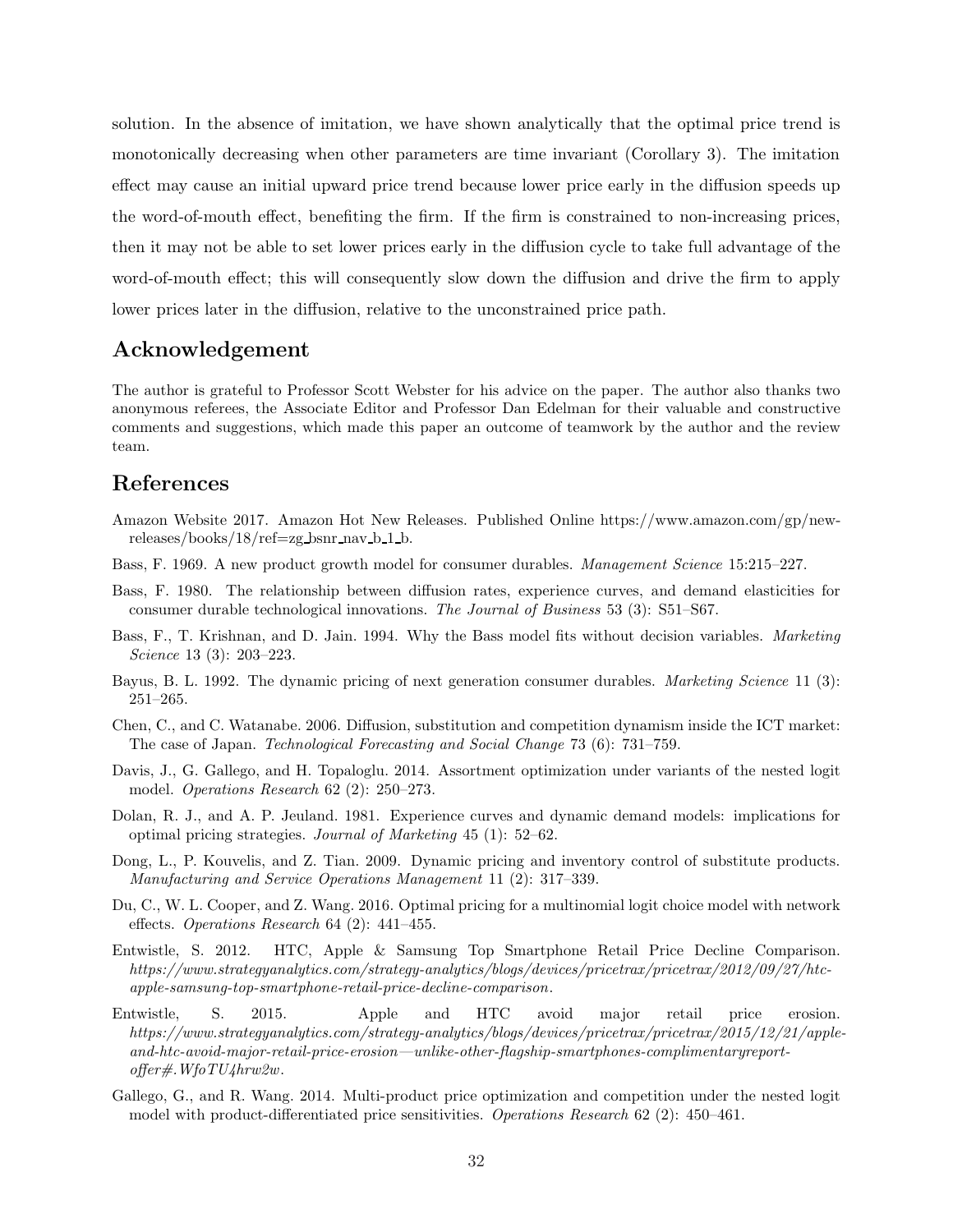solution. In the absence of imitation, we have shown analytically that the optimal price trend is monotonically decreasing when other parameters are time invariant (Corollary 3). The imitation effect may cause an initial upward price trend because lower price early in the diffusion speeds up the word-of-mouth effect, benefiting the firm. If the firm is constrained to non-increasing prices, then it may not be able to set lower prices early in the diffusion cycle to take full advantage of the word-of-mouth effect; this will consequently slow down the diffusion and drive the firm to apply lower prices later in the diffusion, relative to the unconstrained price path.

# Acknowledgement

The author is grateful to Professor Scott Webster for his advice on the paper. The author also thanks two anonymous referees, the Associate Editor and Professor Dan Edelman for their valuable and constructive comments and suggestions, which made this paper an outcome of teamwork by the author and the review team.

### References

- Amazon Website 2017. Amazon Hot New Releases. Published Online https://www.amazon.com/gp/new $releases/books/18/ref=zg_bsnr_nav_b_1_1_b.$
- Bass, F. 1969. A new product growth model for consumer durables. Management Science 15:215–227.
- Bass, F. 1980. The relationship between diffusion rates, experience curves, and demand elasticities for consumer durable technological innovations. The Journal of Business 53 (3): S51–S67.
- Bass, F., T. Krishnan, and D. Jain. 1994. Why the Bass model fits without decision variables. Marketing Science 13 (3): 203–223.
- Bayus, B. L. 1992. The dynamic pricing of next generation consumer durables. Marketing Science 11 (3): 251–265.
- Chen, C., and C. Watanabe. 2006. Diffusion, substitution and competition dynamism inside the ICT market: The case of Japan. Technological Forecasting and Social Change 73 (6): 731–759.
- Davis, J., G. Gallego, and H. Topaloglu. 2014. Assortment optimization under variants of the nested logit model. Operations Research 62 (2): 250–273.
- Dolan, R. J., and A. P. Jeuland. 1981. Experience curves and dynamic demand models: implications for optimal pricing strategies. Journal of Marketing 45 (1): 52–62.
- Dong, L., P. Kouvelis, and Z. Tian. 2009. Dynamic pricing and inventory control of substitute products. Manufacturing and Service Operations Management 11 (2): 317–339.
- Du, C., W. L. Cooper, and Z. Wang. 2016. Optimal pricing for a multinomial logit choice model with network effects. Operations Research 64 (2): 441–455.
- Entwistle, S. 2012. HTC, Apple & Samsung Top Smartphone Retail Price Decline Comparison. https://www.strategyanalytics.com/strategy-analytics/blogs/devices/pricetrax/pricetrax/2012/09/27/htcapple-samsung-top-smartphone-retail-price-decline-comparison.
- Entwistle, S. 2015. Apple and HTC avoid major retail price erosion. https://www.strategyanalytics.com/strategy-analytics/blogs/devices/pricetrax/pricetrax/2015/12/21/appleand-htc-avoid-major-retail-price-erosion—unlike-other-flagship-smartphones-complimentaryreportoffer#.WfoTU4hrw2w.
- Gallego, G., and R. Wang. 2014. Multi-product price optimization and competition under the nested logit model with product-differentiated price sensitivities. Operations Research 62 (2): 450–461.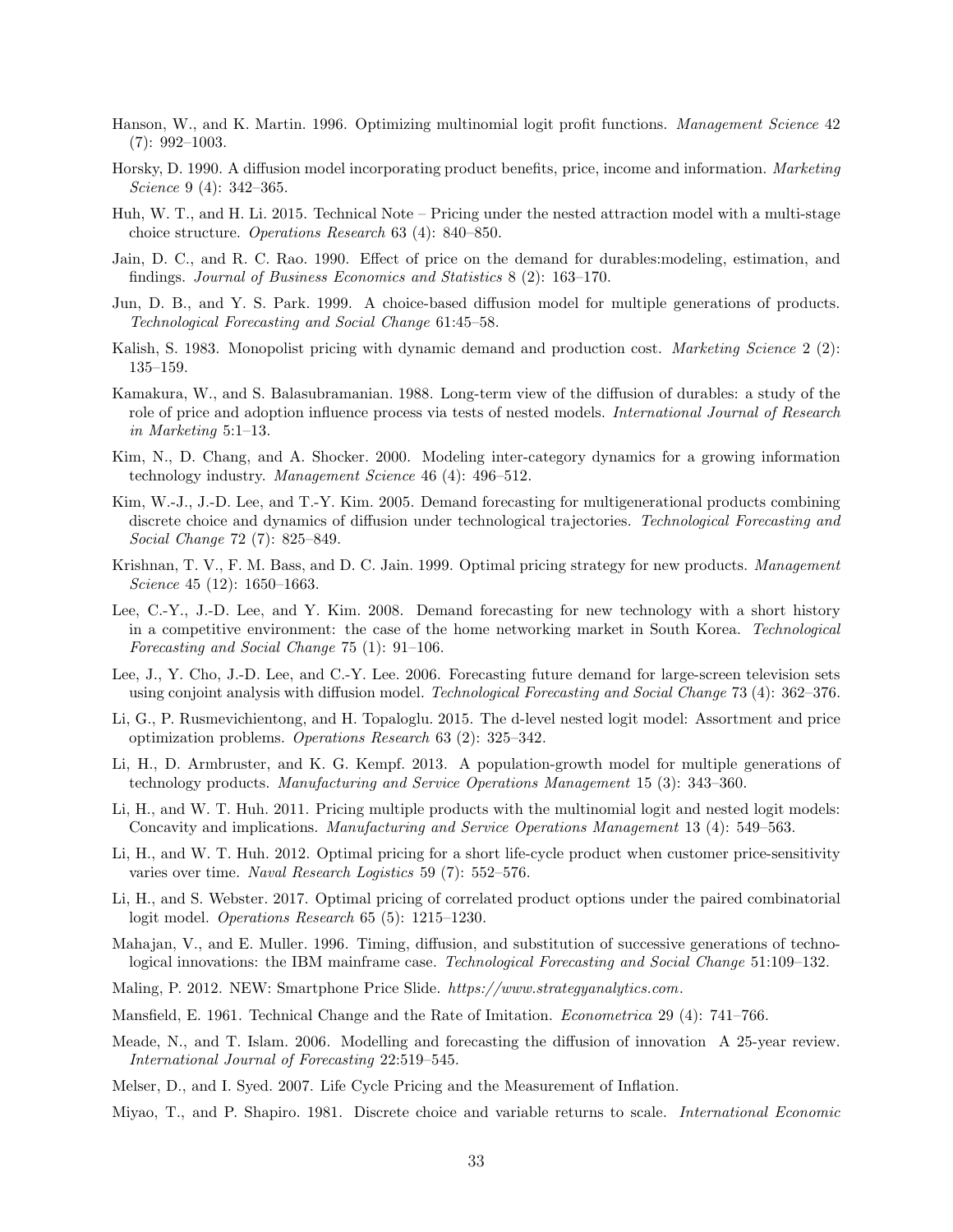- Hanson, W., and K. Martin. 1996. Optimizing multinomial logit profit functions. Management Science 42 (7): 992–1003.
- Horsky, D. 1990. A diffusion model incorporating product benefits, price, income and information. Marketing Science 9 (4): 342–365.
- Huh, W. T., and H. Li. 2015. Technical Note Pricing under the nested attraction model with a multi-stage choice structure. Operations Research 63 (4): 840–850.
- Jain, D. C., and R. C. Rao. 1990. Effect of price on the demand for durables:modeling, estimation, and findings. Journal of Business Economics and Statistics 8 (2): 163–170.
- Jun, D. B., and Y. S. Park. 1999. A choice-based diffusion model for multiple generations of products. Technological Forecasting and Social Change 61:45–58.
- Kalish, S. 1983. Monopolist pricing with dynamic demand and production cost. *Marketing Science* 2 (2): 135–159.
- Kamakura, W., and S. Balasubramanian. 1988. Long-term view of the diffusion of durables: a study of the role of price and adoption influence process via tests of nested models. *International Journal of Research* in Marketing 5:1–13.
- Kim, N., D. Chang, and A. Shocker. 2000. Modeling inter-category dynamics for a growing information technology industry. Management Science 46 (4): 496–512.
- Kim, W.-J., J.-D. Lee, and T.-Y. Kim. 2005. Demand forecasting for multigenerational products combining discrete choice and dynamics of diffusion under technological trajectories. Technological Forecasting and Social Change 72 (7): 825–849.
- Krishnan, T. V., F. M. Bass, and D. C. Jain. 1999. Optimal pricing strategy for new products. Management Science 45 (12): 1650–1663.
- Lee, C.-Y., J.-D. Lee, and Y. Kim. 2008. Demand forecasting for new technology with a short history in a competitive environment: the case of the home networking market in South Korea. Technological Forecasting and Social Change 75 (1): 91–106.
- Lee, J., Y. Cho, J.-D. Lee, and C.-Y. Lee. 2006. Forecasting future demand for large-screen television sets using conjoint analysis with diffusion model. Technological Forecasting and Social Change 73 (4): 362–376.
- Li, G., P. Rusmevichientong, and H. Topaloglu. 2015. The d-level nested logit model: Assortment and price optimization problems. Operations Research 63 (2): 325–342.
- Li, H., D. Armbruster, and K. G. Kempf. 2013. A population-growth model for multiple generations of technology products. Manufacturing and Service Operations Management 15 (3): 343–360.
- Li, H., and W. T. Huh. 2011. Pricing multiple products with the multinomial logit and nested logit models: Concavity and implications. Manufacturing and Service Operations Management 13 (4): 549–563.
- Li, H., and W. T. Huh. 2012. Optimal pricing for a short life-cycle product when customer price-sensitivity varies over time. Naval Research Logistics 59 (7): 552–576.
- Li, H., and S. Webster. 2017. Optimal pricing of correlated product options under the paired combinatorial logit model. Operations Research 65 (5): 1215–1230.
- Mahajan, V., and E. Muller. 1996. Timing, diffusion, and substitution of successive generations of technological innovations: the IBM mainframe case. Technological Forecasting and Social Change 51:109–132.
- Maling, P. 2012. NEW: Smartphone Price Slide. https://www.strategyanalytics.com.
- Mansfield, E. 1961. Technical Change and the Rate of Imitation. Econometrica 29 (4): 741–766.
- Meade, N., and T. Islam. 2006. Modelling and forecasting the diffusion of innovation A 25-year review. International Journal of Forecasting 22:519–545.
- Melser, D., and I. Syed. 2007. Life Cycle Pricing and the Measurement of Inflation.
- Miyao, T., and P. Shapiro. 1981. Discrete choice and variable returns to scale. International Economic